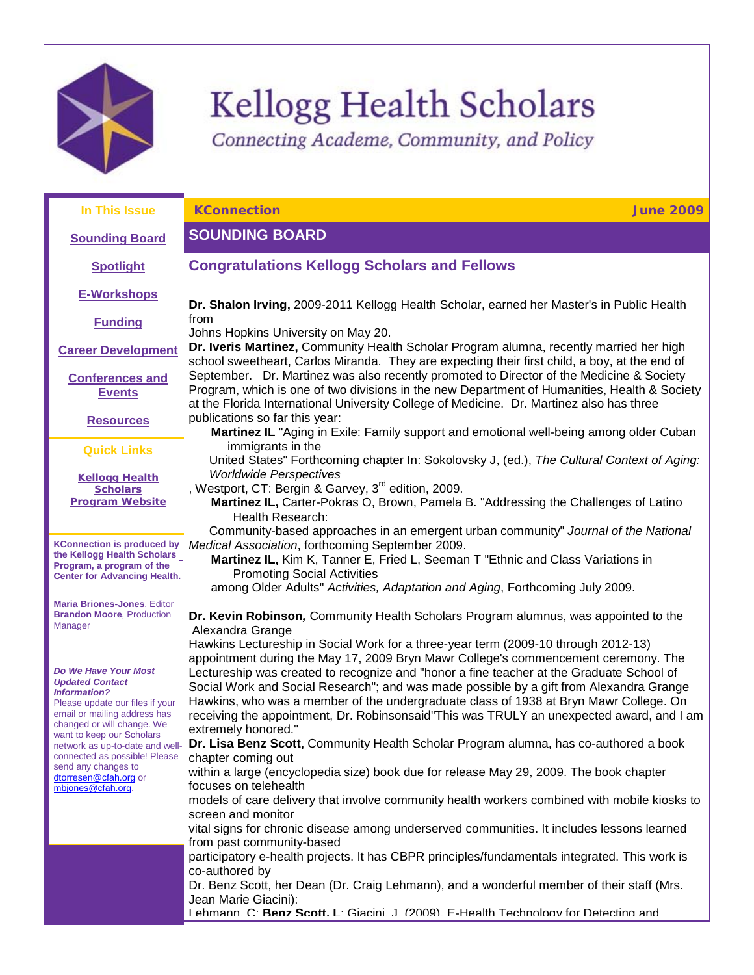

# Kellogg Health Scholars

<span id="page-0-1"></span><span id="page-0-0"></span>Connecting Academe, Community, and Policy

| In This Issue                                                                                                                                                                                                                                                                                                                                | <b>KConnection</b><br><b>June 2009</b>                                                                                                                                                                                                                                                                                                                                                                                                                                                                                                                                      |
|----------------------------------------------------------------------------------------------------------------------------------------------------------------------------------------------------------------------------------------------------------------------------------------------------------------------------------------------|-----------------------------------------------------------------------------------------------------------------------------------------------------------------------------------------------------------------------------------------------------------------------------------------------------------------------------------------------------------------------------------------------------------------------------------------------------------------------------------------------------------------------------------------------------------------------------|
| <b>Sounding Board</b>                                                                                                                                                                                                                                                                                                                        | <b>SOUNDING BOARD</b>                                                                                                                                                                                                                                                                                                                                                                                                                                                                                                                                                       |
| <b>Spotlight</b>                                                                                                                                                                                                                                                                                                                             | <b>Congratulations Kellogg Scholars and Fellows</b>                                                                                                                                                                                                                                                                                                                                                                                                                                                                                                                         |
| <b>E-Workshops</b>                                                                                                                                                                                                                                                                                                                           | Dr. Shalon Irving, 2009-2011 Kellogg Health Scholar, earned her Master's in Public Health                                                                                                                                                                                                                                                                                                                                                                                                                                                                                   |
| <b>Funding</b>                                                                                                                                                                                                                                                                                                                               | from<br>Johns Hopkins University on May 20.                                                                                                                                                                                                                                                                                                                                                                                                                                                                                                                                 |
| <b>Career Development</b>                                                                                                                                                                                                                                                                                                                    | Dr. Iveris Martinez, Community Health Scholar Program alumna, recently married her high<br>school sweetheart, Carlos Miranda. They are expecting their first child, a boy, at the end of                                                                                                                                                                                                                                                                                                                                                                                    |
| <b>Conferences and</b><br><b>Events</b>                                                                                                                                                                                                                                                                                                      | September. Dr. Martinez was also recently promoted to Director of the Medicine & Society<br>Program, which is one of two divisions in the new Department of Humanities, Health & Society<br>at the Florida International University College of Medicine. Dr. Martinez also has three                                                                                                                                                                                                                                                                                        |
| <b>Resources</b>                                                                                                                                                                                                                                                                                                                             | publications so far this year:<br>Martinez IL "Aging in Exile: Family support and emotional well-being among older Cuban                                                                                                                                                                                                                                                                                                                                                                                                                                                    |
| <b>Quick Links</b>                                                                                                                                                                                                                                                                                                                           | immigrants in the<br>United States" Forthcoming chapter In: Sokolovsky J, (ed.), The Cultural Context of Aging:                                                                                                                                                                                                                                                                                                                                                                                                                                                             |
| <b>Kellogg Health</b><br><b>Scholars</b><br><b>Program Website</b>                                                                                                                                                                                                                                                                           | <b>Worldwide Perspectives</b><br>, Westport, CT: Bergin & Garvey, 3 <sup>rd</sup> edition, 2009.<br>Martinez IL, Carter-Pokras O, Brown, Pamela B. "Addressing the Challenges of Latino<br>Health Research:                                                                                                                                                                                                                                                                                                                                                                 |
| <b>KConnection is produced by</b>                                                                                                                                                                                                                                                                                                            | Community-based approaches in an emergent urban community" Journal of the National<br>Medical Association, forthcoming September 2009.                                                                                                                                                                                                                                                                                                                                                                                                                                      |
| the Kellogg Health Scholars<br>Program, a program of the<br><b>Center for Advancing Health.</b>                                                                                                                                                                                                                                              | Martinez IL, Kim K, Tanner E, Fried L, Seeman T "Ethnic and Class Variations in<br><b>Promoting Social Activities</b><br>among Older Adults" Activities, Adaptation and Aging, Forthcoming July 2009.                                                                                                                                                                                                                                                                                                                                                                       |
| <b>Maria Briones-Jones, Editor</b><br><b>Brandon Moore, Production</b><br>Manager                                                                                                                                                                                                                                                            | Dr. Kevin Robinson, Community Health Scholars Program alumnus, was appointed to the<br>Alexandra Grange                                                                                                                                                                                                                                                                                                                                                                                                                                                                     |
| Do We Have Your Most<br><b>Updated Contact</b><br><b>Information?</b><br>Please update our files if your<br>email or mailing address has<br>changed or will change. We<br>want to keep our Scholars<br>network as up-to-date and well-<br>connected as possible! Please<br>send any changes to<br>dtorresen@cfah.org or<br>mbjones@cfah.org. | Hawkins Lectureship in Social Work for a three-year term (2009-10 through 2012-13)<br>appointment during the May 17, 2009 Bryn Mawr College's commencement ceremony. The<br>Lectureship was created to recognize and "honor a fine teacher at the Graduate School of<br>Social Work and Social Research"; and was made possible by a gift from Alexandra Grange<br>Hawkins, who was a member of the undergraduate class of 1938 at Bryn Mawr College. On<br>receiving the appointment, Dr. Robinsonsaid"This was TRULY an unexpected award, and I am<br>extremely honored." |
|                                                                                                                                                                                                                                                                                                                                              | Dr. Lisa Benz Scott, Community Health Scholar Program alumna, has co-authored a book<br>chapter coming out<br>within a large (encyclopedia size) book due for release May 29, 2009. The book chapter                                                                                                                                                                                                                                                                                                                                                                        |
|                                                                                                                                                                                                                                                                                                                                              | focuses on telehealth<br>models of care delivery that involve community health workers combined with mobile kiosks to                                                                                                                                                                                                                                                                                                                                                                                                                                                       |
|                                                                                                                                                                                                                                                                                                                                              | screen and monitor<br>vital signs for chronic disease among underserved communities. It includes lessons learned                                                                                                                                                                                                                                                                                                                                                                                                                                                            |
|                                                                                                                                                                                                                                                                                                                                              | from past community-based<br>participatory e-health projects. It has CBPR principles/fundamentals integrated. This work is                                                                                                                                                                                                                                                                                                                                                                                                                                                  |
|                                                                                                                                                                                                                                                                                                                                              | co-authored by<br>Dr. Benz Scott, her Dean (Dr. Craig Lehmann), and a wonderful member of their staff (Mrs.                                                                                                                                                                                                                                                                                                                                                                                                                                                                 |
|                                                                                                                                                                                                                                                                                                                                              | Jean Marie Giacini):<br>Lehmann, C: Renz Scott, L: Giacini, J. (2009). E-Health Technology for Detecting and                                                                                                                                                                                                                                                                                                                                                                                                                                                                |
|                                                                                                                                                                                                                                                                                                                                              |                                                                                                                                                                                                                                                                                                                                                                                                                                                                                                                                                                             |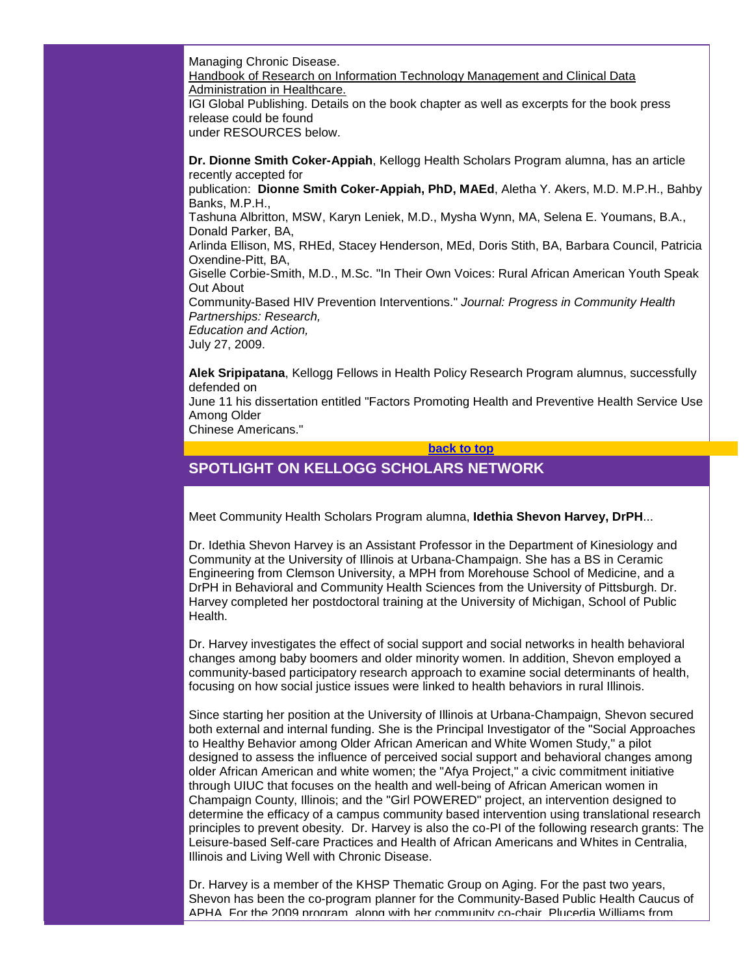Managing Chronic Disease. Handbook of Research on Information Technology Management and Clinical Data Administration in Healthcare. IGI Global Publishing. Details on the book chapter as well as excerpts for the book press release could be found under RESOURCES below.

**Dr. Dionne Smith Coker-Appiah**, Kellogg Health Scholars Program alumna, has an article recently accepted for publication: **Dionne Smith Coker-Appiah, PhD, MAEd**, Aletha Y. Akers, M.D. M.P.H., Bahby Banks, M.P.H., Tashuna Albritton, MSW, Karyn Leniek, M.D., Mysha Wynn, MA, Selena E. Youmans, B.A., Donald Parker, BA, Arlinda Ellison, MS, RHEd, Stacey Henderson, MEd, Doris Stith, BA, Barbara Council, Patricia Oxendine-Pitt, BA, Giselle Corbie-Smith, M.D., M.Sc. "In Their Own Voices: Rural African American Youth Speak Out About Community-Based HIV Prevention Interventions." *Journal: Progress in Community Health Partnerships: Research, Education and Action,*  July 27, 2009.

**Alek Sripipatana**, Kellogg Fellows in Health Policy Research Program alumnus, successfully defended on June 11 his dissertation entitled "Factors Promoting Health and Preventive Health Service Use Among Older Chinese Americans."

**[back to top](#page-0-1)**

# <span id="page-1-0"></span>**SPOTLIGHT ON KELLOGG SCHOLARS NETWORK**

Meet Community Health Scholars Program alumna, **Idethia Shevon Harvey, DrPH**...

Dr. Idethia Shevon Harvey is an Assistant Professor in the Department of Kinesiology and Community at the University of Illinois at Urbana-Champaign. She has a BS in Ceramic Engineering from Clemson University, a MPH from Morehouse School of Medicine, and a DrPH in Behavioral and Community Health Sciences from the University of Pittsburgh. Dr. Harvey completed her postdoctoral training at the University of Michigan, School of Public Health.

Dr. Harvey investigates the effect of social support and social networks in health behavioral changes among baby boomers and older minority women. In addition, Shevon employed a community-based participatory research approach to examine social determinants of health, focusing on how social justice issues were linked to health behaviors in rural Illinois.

Since starting her position at the University of Illinois at Urbana-Champaign, Shevon secured both external and internal funding. She is the Principal Investigator of the "Social Approaches to Healthy Behavior among Older African American and White Women Study," a pilot designed to assess the influence of perceived social support and behavioral changes among older African American and white women; the "Afya Project," a civic commitment initiative through UIUC that focuses on the health and well-being of African American women in Champaign County, Illinois; and the "Girl POWERED" project, an intervention designed to determine the efficacy of a campus community based intervention using translational research principles to prevent obesity. Dr. Harvey is also the co-PI of the following research grants: The Leisure-based Self-care Practices and Health of African Americans and Whites in Centralia, Illinois and Living Well with Chronic Disease.

Dr. Harvey is a member of the KHSP Thematic Group on Aging. For the past two years, Shevon has been the co-program planner for the Community-Based Public Health Caucus of APHA. For the 2009 program, along with her community co-chair, Plucedia Williams from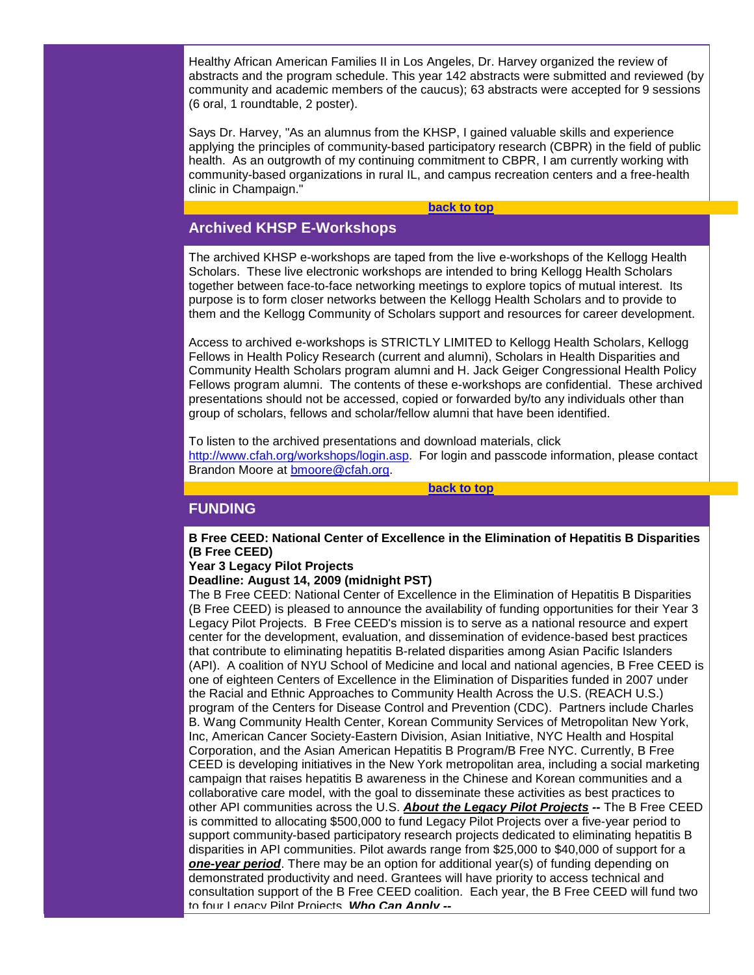Healthy African American Families II in Los Angeles, Dr. Harvey organized the review of abstracts and the program schedule. This year 142 abstracts were submitted and reviewed (by community and academic members of the caucus); 63 abstracts were accepted for 9 sessions (6 oral, 1 roundtable, 2 poster).

Says Dr. Harvey, "As an alumnus from the KHSP, I gained valuable skills and experience applying the principles of community-based participatory research (CBPR) in the field of public health. As an outgrowth of my continuing commitment to CBPR, I am currently working with community-based organizations in rural IL, and campus recreation centers and a free-health clinic in Champaign."

#### **[back to top](#page-0-1)**

# <span id="page-2-0"></span>**Archived KHSP E-Workshops**

The archived KHSP e-workshops are taped from the live e-workshops of the Kellogg Health Scholars. These live electronic workshops are intended to bring Kellogg Health Scholars together between face-to-face networking meetings to explore topics of mutual interest. Its purpose is to form closer networks between the Kellogg Health Scholars and to provide to them and the Kellogg Community of Scholars support and resources for career development.

Access to archived e-workshops is STRICTLY LIMITED to Kellogg Health Scholars, Kellogg Fellows in Health Policy Research (current and alumni), Scholars in Health Disparities and Community Health Scholars program alumni and H. Jack Geiger Congressional Health Policy Fellows program alumni. The contents of these e-workshops are confidential. These archived presentations should not be accessed, copied or forwarded by/to any individuals other than group of scholars, fellows and scholar/fellow alumni that have been identified.

To listen to the archived presentations and download materials, click [http://www.cfah.org/workshops/login.asp.](http://rs6.net/tn.jsp?et=1102616288417&s=1&e=001oqVoDQQcg4K7As2Ira5x_VbkDFP_UNuRvmAbPkLfB-ZPUw-p0a3qjs8fNf7Lr2fhMhbOlTS9ZCNOEA7nFLBN3GU1EdiIdL9zkeIQl6QFN2oDx6K1d2Q_sZH2QOLuzwqp_lz59EXjk18=) For login and passcode information, please contact Brandon Moore at [bmoore@cfah.org.](mailto:bmoore@cfah.org)

#### **[back to top](#page-0-1)**

## <span id="page-2-1"></span>**FUNDING**

**B Free CEED: National Center of Excellence in the Elimination of Hepatitis B Disparities (B Free CEED)**

## **Year 3 Legacy Pilot Projects**

#### **Deadline: August 14, 2009 (midnight PST)**

The B Free CEED: National Center of Excellence in the Elimination of Hepatitis B Disparities (B Free CEED) is pleased to announce the availability of funding opportunities for their Year 3 Legacy Pilot Projects. B Free CEED's mission is to serve as a national resource and expert center for the development, evaluation, and dissemination of evidence-based best practices that contribute to eliminating hepatitis B-related disparities among Asian Pacific Islanders (API). A coalition of NYU School of Medicine and local and national agencies, B Free CEED is one of eighteen Centers of Excellence in the Elimination of Disparities funded in 2007 under the Racial and Ethnic Approaches to Community Health Across the U.S. (REACH U.S.) program of the Centers for Disease Control and Prevention (CDC). Partners include Charles B. Wang Community Health Center, Korean Community Services of Metropolitan New York, Inc, American Cancer Society-Eastern Division, Asian Initiative, NYC Health and Hospital Corporation, and the Asian American Hepatitis B Program/B Free NYC. Currently, B Free CEED is developing initiatives in the New York metropolitan area, including a social marketing campaign that raises hepatitis B awareness in the Chinese and Korean communities and a collaborative care model, with the goal to disseminate these activities as best practices to other API communities across the U.S. *About the Legacy Pilot Projects --* The B Free CEED is committed to allocating \$500,000 to fund Legacy Pilot Projects over a five-year period to support community-based participatory research projects dedicated to eliminating hepatitis B disparities in API communities. Pilot awards range from \$25,000 to \$40,000 of support for a *one-year period*. There may be an option for additional year(s) of funding depending on demonstrated productivity and need. Grantees will have priority to access technical and consultation support of the B Free CEED coalition. Each year, the B Free CEED will fund two to four Legacy Pilot Projects. *Who Can Apply --*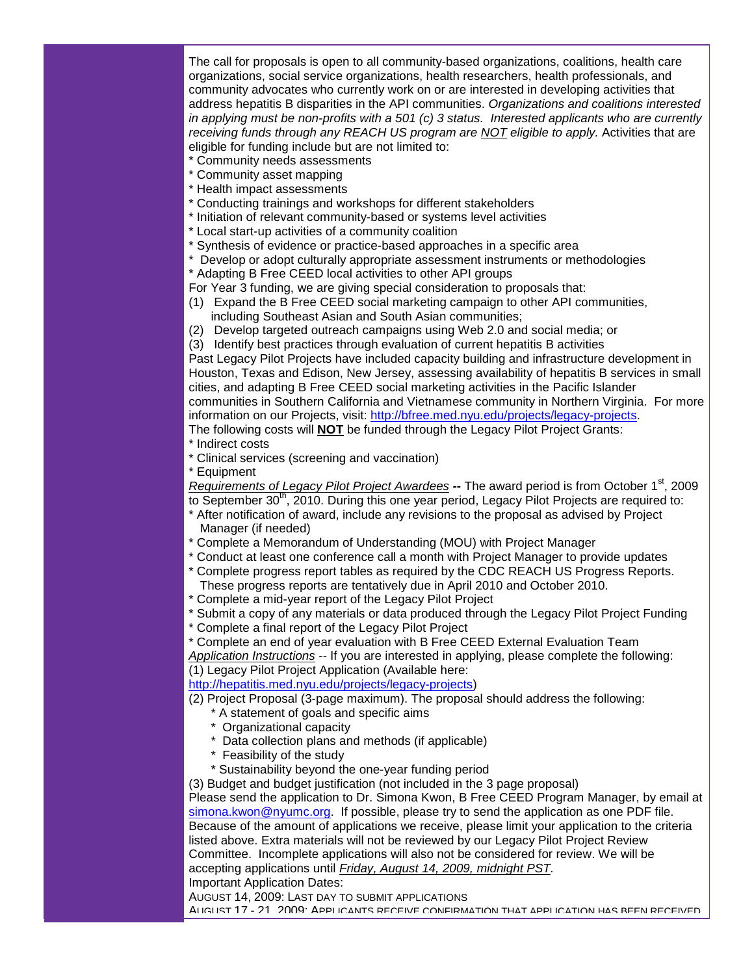The call for proposals is open to all community-based organizations, coalitions, health care organizations, social service organizations, health researchers, health professionals, and community advocates who currently work on or are interested in developing activities that address hepatitis B disparities in the API communities. *Organizations and coalitions interested in applying must be non-profits with a 501 (c) 3 status. Interested applicants who are currently receiving funds through any REACH US program are NOT eligible to apply.* Activities that are eligible for funding include but are not limited to:

- \* Community needs assessments
- \* Community asset mapping
- \* Health impact assessments
- \* Conducting trainings and workshops for different stakeholders
- \* Initiation of relevant community-based or systems level activities
- \* Local start-up activities of a community coalition
- \* Synthesis of evidence or practice-based approaches in a specific area
- \* Develop or adopt culturally appropriate assessment instruments or methodologies
- \* Adapting B Free CEED local activities to other API groups

For Year 3 funding, we are giving special consideration to proposals that:

- (1) Expand the B Free CEED social marketing campaign to other API communities, including Southeast Asian and South Asian communities;
- (2) Develop targeted outreach campaigns using Web 2.0 and social media; or
- (3) Identify best practices through evaluation of current hepatitis B activities

Past Legacy Pilot Projects have included capacity building and infrastructure development in Houston, Texas and Edison, New Jersey, assessing availability of hepatitis B services in small cities, and adapting B Free CEED social marketing activities in the Pacific Islander communities in Southern California and Vietnamese community in Northern Virginia. For more information on our Projects, visit: [http://bfree.med.nyu.edu/projects/legacy-projects.](http://rs6.net/tn.jsp?et=1102616288417&s=1&e=001oqVoDQQcg4JcfRJj-VRaNss5QCRx4ZLrEhiToPyH1NsZZ-ahlT31_IGTEfMqaNYpDA947XDfUBBo-DaZeJu5Jg8sPNVJqqxcAwUMhXtuYNKNV1ItOOu8X3TBgyAc6hInzVkTGU4wmmjgJT7MqoYD0g==)

The following costs will **NOT** be funded through the Legacy Pilot Project Grants:

- \* Indirect costs
- \* Clinical services (screening and vaccination)
- \* Equipment

*Requirements of Legacy Pilot Project Awardees* -- The award period is from October 1<sup>st</sup>, 2009 to September 30<sup>th</sup>, 2010. During this one year period, Legacy Pilot Projects are required to:

- \* After notification of award, include any revisions to the proposal as advised by Project Manager (if needed)
- \* Complete a Memorandum of Understanding (MOU) with Project Manager
- \* Conduct at least one conference call a month with Project Manager to provide updates
- \* Complete progress report tables as required by the CDC REACH US Progress Reports. These progress reports are tentatively due in April 2010 and October 2010.
- \* Complete a mid-year report of the Legacy Pilot Project
- \* Submit a copy of any materials or data produced through the Legacy Pilot Project Funding
- \* Complete a final report of the Legacy Pilot Project
- \* Complete an end of year evaluation with B Free CEED External Evaluation Team

*Application Instructions --* If you are interested in applying, please complete the following: (1) Legacy Pilot Project Application (Available here:

[http://hepatitis.med.nyu.edu/projects/legacy-projects\)](http://rs6.net/tn.jsp?et=1102616288417&s=1&e=001oqVoDQQcg4J3jrl53SvbRqCSzFSzG9Cj11Rm4IgDoQsXs9mOYpaXAJYRaKV3GxFMhWcMR5oFXTHngsht5JXELMB-HDt7qW-G83jHn4fPb6hmZymkGGcxqd6OCPyuqET2oxvk8JMAafOq6fPRV0HAZw==)

(2) Project Proposal (3-page maximum). The proposal should address the following:

- \* A statement of goals and specific aims
- \* Organizational capacity
- Data collection plans and methods (if applicable)
- \* Feasibility of the study
- \* Sustainability beyond the one-year funding period

(3) Budget and budget justification (not included in the 3 page proposal)

Please send the application to Dr. Simona Kwon, B Free CEED Program Manager, by email at [simona.kwon@nyumc.org.](mailto:simona.kwon@nyumc.org) If possible, please try to send the application as one PDF file. Because of the amount of applications we receive, please limit your application to the criteria listed above. Extra materials will not be reviewed by our Legacy Pilot Project Review Committee. Incomplete applications will also not be considered for review. We will be accepting applications until *Friday, August 14, 2009, midnight PST.*

Important Application Dates:

AUGUST 14, 2009: LAST DAY TO SUBMIT APPLICATIONS

AUGUST 17 - 21, 2009: APPLICANTS RECEIVE CONFIRMATION THAT APPLICATION HAS BEEN RECEIVED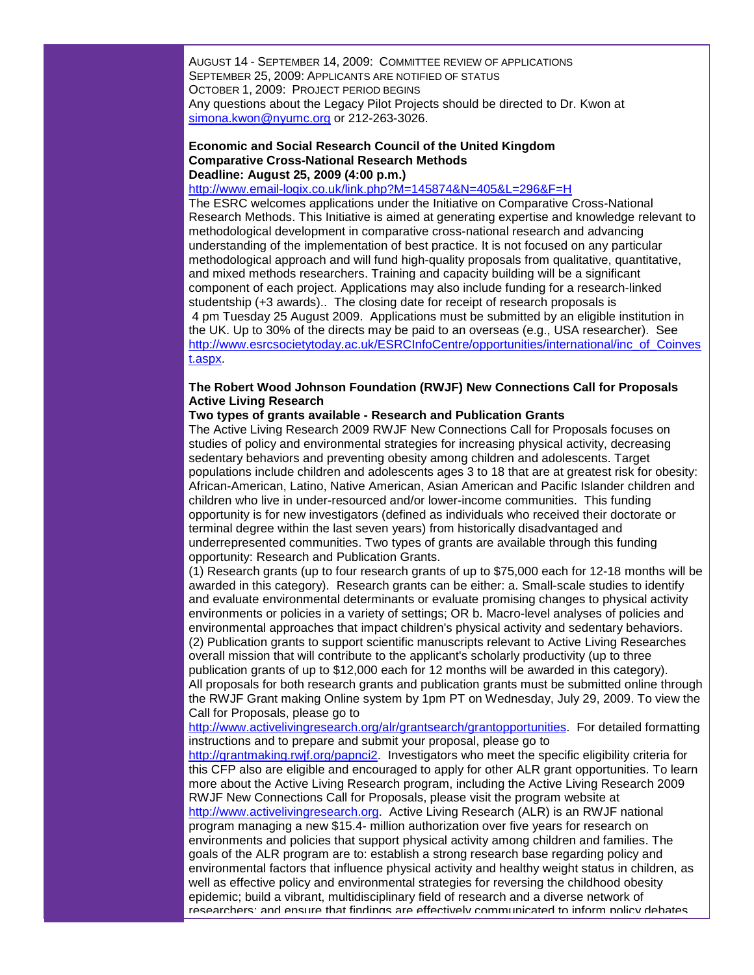AUGUST 14 - SEPTEMBER 14, 2009: COMMITTEE REVIEW OF APPLICATIONS SEPTEMBER 25, 2009: APPLICANTS ARE NOTIFIED OF STATUS OCTOBER 1, 2009: PROJECT PERIOD BEGINS Any questions about the Legacy Pilot Projects should be directed to Dr. Kwon at [simona.kwon@nyumc.org](mailto:simona.kwon@nyumc.org) or 212-263-3026.

### **Economic and Social Research Council of the United Kingdom Comparative Cross-National Research Methods Deadline: August 25, 2009 (4:00 p.m.)**

# [http://www.email-logix.co.uk/link.php?M=145874&N=405&L=296&F=H](http://rs6.net/tn.jsp?et=1102616288417&s=1&e=001oqVoDQQcg4KB9x5GTLCKChfHDLSRBaBwgAwgzt5vGlYaLN0DD6bX5AnN4tTZ1h_cwta5Opo5Ea-So1rwISMCe52ffQp-q7uu28x5c-NwTizElV_XP_vqc_rpEfRTJMLi5GW2-KvAXjTkxb7bfDjgdAXqYtuPicPK8eFLsC8muJoCup-rCtPORQ==)

The ESRC welcomes applications under the Initiative on Comparative Cross-National Research Methods. This Initiative is aimed at generating expertise and knowledge relevant to methodological development in comparative cross-national research and advancing understanding of the implementation of best practice. It is not focused on any particular methodological approach and will fund high-quality proposals from qualitative, quantitative, and mixed methods researchers. Training and capacity building will be a significant component of each project. Applications may also include funding for a research-linked studentship (+3 awards).. The closing date for receipt of research proposals is 4 pm Tuesday 25 August 2009. Applications must be submitted by an eligible institution in the UK. Up to 30% of the directs may be paid to an overseas (e.g., USA researcher). See [http://www.esrcsocietytoday.ac.uk/ESRCInfoCentre/opportunities/international/inc\\_of\\_Coinves](http://rs6.net/tn.jsp?et=1102616288417&s=1&e=001oqVoDQQcg4KYNDSZYQ1L-HS2stdHTQXV8oP-ImXLtehZ1cz_thps6c0Z_YBFGfV1_zEu9Oe3CSIAp0YTfZH7rTk5gUmdPtZl9Ck4fZw2Ql6jzVzjU7C_0fLAWWxuA5n8TaD2pCZ17mzoy94PKCLxAMIBj_kmxWnzZ7_bP8_9ICtFvmSUrNRTCbRnGKzYRw9cCeER_he7UMRNYO2afalmFw==) [t.aspx.](http://rs6.net/tn.jsp?et=1102616288417&s=1&e=001oqVoDQQcg4KYNDSZYQ1L-HS2stdHTQXV8oP-ImXLtehZ1cz_thps6c0Z_YBFGfV1_zEu9Oe3CSIAp0YTfZH7rTk5gUmdPtZl9Ck4fZw2Ql6jzVzjU7C_0fLAWWxuA5n8TaD2pCZ17mzoy94PKCLxAMIBj_kmxWnzZ7_bP8_9ICtFvmSUrNRTCbRnGKzYRw9cCeER_he7UMRNYO2afalmFw==)

## **The Robert Wood Johnson Foundation (RWJF) New Connections Call for Proposals Active Living Research**

## **Two types of grants available - Research and Publication Grants**

The Active Living Research 2009 RWJF New Connections Call for Proposals focuses on studies of policy and environmental strategies for increasing physical activity, decreasing sedentary behaviors and preventing obesity among children and adolescents. Target populations include children and adolescents ages 3 to 18 that are at greatest risk for obesity: African-American, Latino, Native American, Asian American and Pacific Islander children and children who live in under-resourced and/or lower-income communities. This funding opportunity is for new investigators (defined as individuals who received their doctorate or terminal degree within the last seven years) from historically disadvantaged and underrepresented communities. Two types of grants are available through this funding opportunity: Research and Publication Grants.

(1) Research grants (up to four research grants of up to \$75,000 each for 12-18 months will be awarded in this category). Research grants can be either: a. Small-scale studies to identify and evaluate environmental determinants or evaluate promising changes to physical activity environments or policies in a variety of settings; OR b. Macro-level analyses of policies and environmental approaches that impact children's physical activity and sedentary behaviors. (2) Publication grants to support scientific manuscripts relevant to Active Living Researches overall mission that will contribute to the applicant's scholarly productivity (up to three publication grants of up to \$12,000 each for 12 months will be awarded in this category). All proposals for both research grants and publication grants must be submitted online through the RWJF Grant making Online system by 1pm PT on Wednesday, July 29, 2009. To view the Call for Proposals, please go to

[http://www.activelivingresearch.org/alr/grantsearch/grantopportunities.](http://rs6.net/tn.jsp?et=1102616288417&s=1&e=001oqVoDQQcg4L3ec2qTCA8x2P956Ik7LTyEk22VvgO3-EwSIUg1k02JRCbbWeNgxGKfeoPD68BJXe1z_NIYb_4TOPMREHbJ4NvmZ-QRX9WDjPWQWnME0GTd7CHsTBAGxzhQhZwYwZ9ozrvyeQ8eI_weKsDHrD6KGeGF3nFRlfj60nVzXwUK-3dwg==) For detailed formatting instructions and to prepare and submit your proposal, please go to

[http://grantmaking.rwjf.org/papnci2.](http://rs6.net/tn.jsp?et=1102616288417&s=1&e=001oqVoDQQcg4Jin69P1IkM7bNbq2SwBYgKVHgrr22XbKT3QVA1krmH0s-cm35rgPwBaq1-0l0CcEj2baunbv3m8Umd49OBv5ZAFFx54MyObWYXrXCbccfYqL6wuXlYgxWl) Investigators who meet the specific eligibility criteria for this CFP also are eligible and encouraged to apply for other ALR grant opportunities. To learn more about the Active Living Research program, including the Active Living Research 2009 RWJF New Connections Call for Proposals, please visit the program website at [http://www.activelivingresearch.org.](http://rs6.net/tn.jsp?et=1102616288417&s=1&e=001oqVoDQQcg4Ljkcxlt7-uN70X5b71LDn1bC7fWLnqp_cHFzAPhcxxn0vz2RIw8P904B3s8WbQtsJl_QfiblxHiSNgIcG_iHn3QZr91vlPaI_LykXsTTlu2SGN0mpRRGxL) Active Living Research (ALR) is an RWJF national program managing a new \$15.4- million authorization over five years for research on environments and policies that support physical activity among children and families. The goals of the ALR program are to: establish a strong research base regarding policy and environmental factors that influence physical activity and healthy weight status in children, as well as effective policy and environmental strategies for reversing the childhood obesity epidemic; build a vibrant, multidisciplinary field of research and a diverse network of researchers; and ensure that findings are effectively communicated to inform policy debates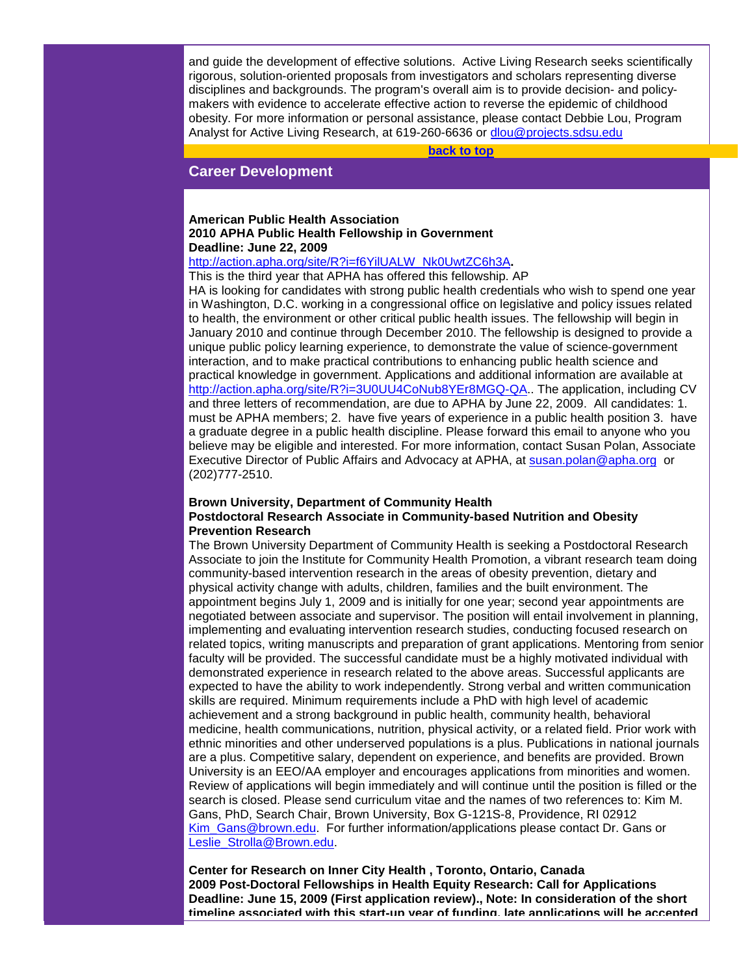and guide the development of effective solutions. Active Living Research seeks scientifically rigorous, solution-oriented proposals from investigators and scholars representing diverse disciplines and backgrounds. The program's overall aim is to provide decision- and policymakers with evidence to accelerate effective action to reverse the epidemic of childhood obesity. For more information or personal assistance, please contact Debbie Lou, Program Analyst for Active Living Research, at 619-260-6636 or [dlou@projects.sdsu.edu](mailto:dlou@projects.sdsu.edu)

**[back to top](#page-0-1)**

## <span id="page-5-0"></span>**Career Development**

## **American Public Health Association 2010 APHA Public Health Fellowship in Government Deadline: June 22, 2009**

# [http://action.apha.org/site/R?i=f6YilUALW\\_Nk0UwtZC6h3A](http://action.apha.org/site/R?i=f6YilUALW_Nk0UwtZC6h3A)**.**

This is the third year that APHA has offered this fellowship. AP

HA is looking for candidates with strong public health credentials who wish to spend one year in Washington, D.C. working in a congressional office on legislative and policy issues related to health, the environment or other critical public health issues. The fellowship will begin in January 2010 and continue through December 2010. The fellowship is designed to provide a unique public policy learning experience, to demonstrate the value of science-government interaction, and to make practical contributions to enhancing public health science and practical knowledge in government. Applications and additional information are available at [http://action.apha.org/site/R?i=3U0UU4CoNub8YEr8MGQ-QA.](http://action.apha.org/site/R?i=3U0UU4CoNub8YEr8MGQ-QA). The application, including CV and three letters of recommendation, are due to APHA by June 22, 2009. All candidates: 1. must be APHA members; 2. have five years of experience in a public health position 3. have a graduate degree in a public health discipline. Please forward this email to anyone who you believe may be eligible and interested. For more information, contact Susan Polan, Associate Executive Director of Public Affairs and Advocacy at APHA, at [susan.polan@apha.org](mailto:susan.polan@apha.org) or (202)777-2510.

## **Brown University, Department of Community Health Postdoctoral Research Associate in Community-based Nutrition and Obesity Prevention Research**

The Brown University Department of Community Health is seeking a Postdoctoral Research Associate to join the Institute for Community Health Promotion, a vibrant research team doing community-based intervention research in the areas of obesity prevention, dietary and physical activity change with adults, children, families and the built environment. The appointment begins July 1, 2009 and is initially for one year; second year appointments are negotiated between associate and supervisor. The position will entail involvement in planning, implementing and evaluating intervention research studies, conducting focused research on related topics, writing manuscripts and preparation of grant applications. Mentoring from senior faculty will be provided. The successful candidate must be a highly motivated individual with demonstrated experience in research related to the above areas. Successful applicants are expected to have the ability to work independently. Strong verbal and written communication skills are required. Minimum requirements include a PhD with high level of academic achievement and a strong background in public health, community health, behavioral medicine, health communications, nutrition, physical activity, or a related field. Prior work with ethnic minorities and other underserved populations is a plus. Publications in national journals are a plus. Competitive salary, dependent on experience, and benefits are provided. Brown University is an EEO/AA employer and encourages applications from minorities and women. Review of applications will begin immediately and will continue until the position is filled or the search is closed. Please send curriculum vitae and the names of two references to: Kim M. Gans, PhD, Search Chair, Brown University, Box G-121S-8, Providence, RI 02912 Kim Gans@brown.edu. For further information/applications please contact Dr. Gans or [Leslie\\_Strolla@Brown.edu.](mailto:Leslie_Strolla@Brown.edu)

**Center for Research on Inner City Health , Toronto, Ontario, Canada 2009 Post-Doctoral Fellowships in Health Equity Research: Call for Applications Deadline: June 15, 2009 (First application review)., Note: In consideration of the short timeline associated with this start-up year of funding, late applications will be accepted**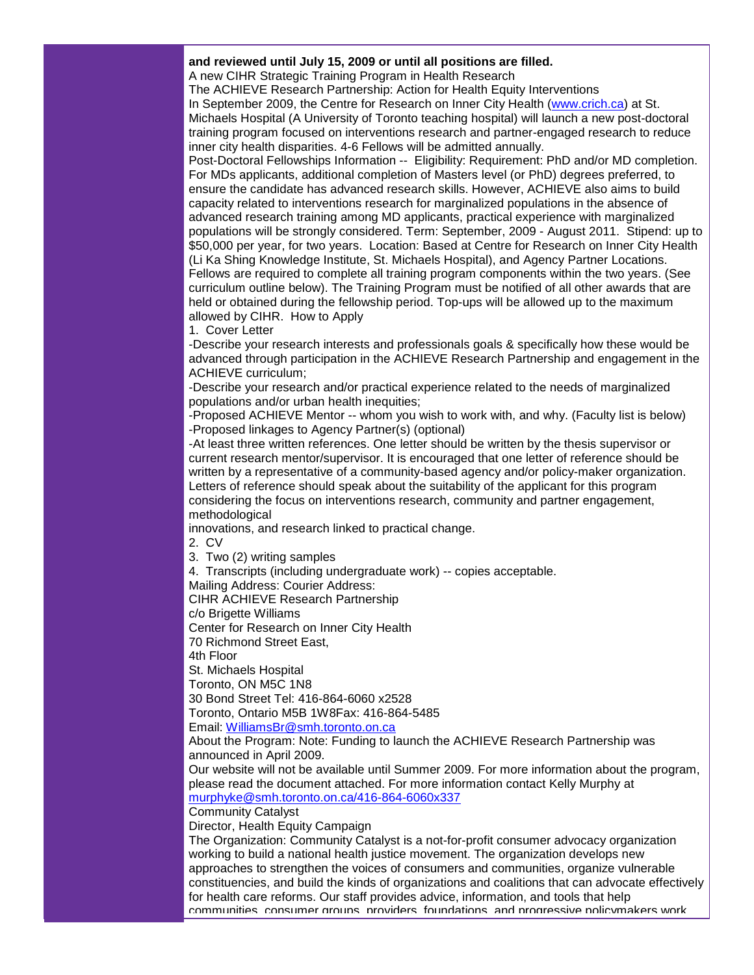## **and reviewed until July 15, 2009 or until all positions are filled.**

A new CIHR Strategic Training Program in Health Research

The ACHIEVE Research Partnership: Action for Health Equity Interventions

In September 2009, the Centre for Research on Inner City Health [\(www.crich.ca\)](http://www.crich.ca/) at St. Michaels Hospital (A University of Toronto teaching hospital) will launch a new post-doctoral training program focused on interventions research and partner-engaged research to reduce inner city health disparities. 4-6 Fellows will be admitted annually.

Post-Doctoral Fellowships Information -- Eligibility: Requirement: PhD and/or MD completion. For MDs applicants, additional completion of Masters level (or PhD) degrees preferred, to ensure the candidate has advanced research skills. However, ACHIEVE also aims to build capacity related to interventions research for marginalized populations in the absence of advanced research training among MD applicants, practical experience with marginalized populations will be strongly considered. Term: September, 2009 - August 2011. Stipend: up to \$50,000 per year, for two years. Location: Based at Centre for Research on Inner City Health (Li Ka Shing Knowledge Institute, St. Michaels Hospital), and Agency Partner Locations. Fellows are required to complete all training program components within the two years. (See curriculum outline below). The Training Program must be notified of all other awards that are held or obtained during the fellowship period. Top-ups will be allowed up to the maximum allowed by CIHR. How to Apply

1. Cover Letter

-Describe your research interests and professionals goals & specifically how these would be advanced through participation in the ACHIEVE Research Partnership and engagement in the ACHIEVE curriculum;

-Describe your research and/or practical experience related to the needs of marginalized populations and/or urban health inequities;

-Proposed ACHIEVE Mentor -- whom you wish to work with, and why. (Faculty list is below) -Proposed linkages to Agency Partner(s) (optional)

-At least three written references. One letter should be written by the thesis supervisor or current research mentor/supervisor. It is encouraged that one letter of reference should be written by a representative of a community-based agency and/or policy-maker organization. Letters of reference should speak about the suitability of the applicant for this program considering the focus on interventions research, community and partner engagement, methodological

innovations, and research linked to practical change.

2. CV

3. Two (2) writing samples

4. Transcripts (including undergraduate work) -- copies acceptable.

Mailing Address: Courier Address:

CIHR ACHIEVE Research Partnership

c/o Brigette Williams

Center for Research on Inner City Health

70 Richmond Street East,

4th Floor

St. Michaels Hospital

Toronto, ON M5C 1N8

30 Bond Street Tel: 416-864-6060 x2528

Toronto, Ontario M5B 1W8Fax: 416-864-5485

Email: [WilliamsBr@smh.toronto.on.ca](mailto:WilliamsBr@smh.toronto.on.ca)

About the Program: Note: Funding to launch the ACHIEVE Research Partnership was announced in April 2009.

Our website will not be available until Summer 2009. For more information about the program, please read the document attached. For more information contact Kelly Murphy at [murphyke@smh.toronto.on.ca/416-864-6060x337](mailto:murphyke@smh.toronto.on.ca/416-864-6060x337)

Community Catalyst

Director, Health Equity Campaign

The Organization: Community Catalyst is a not-for-profit consumer advocacy organization working to build a national health justice movement. The organization develops new approaches to strengthen the voices of consumers and communities, organize vulnerable constituencies, and build the kinds of organizations and coalitions that can advocate effectively for health care reforms. Our staff provides advice, information, and tools that help communities, consumer groups, providers, foundations, and progressive policymakers work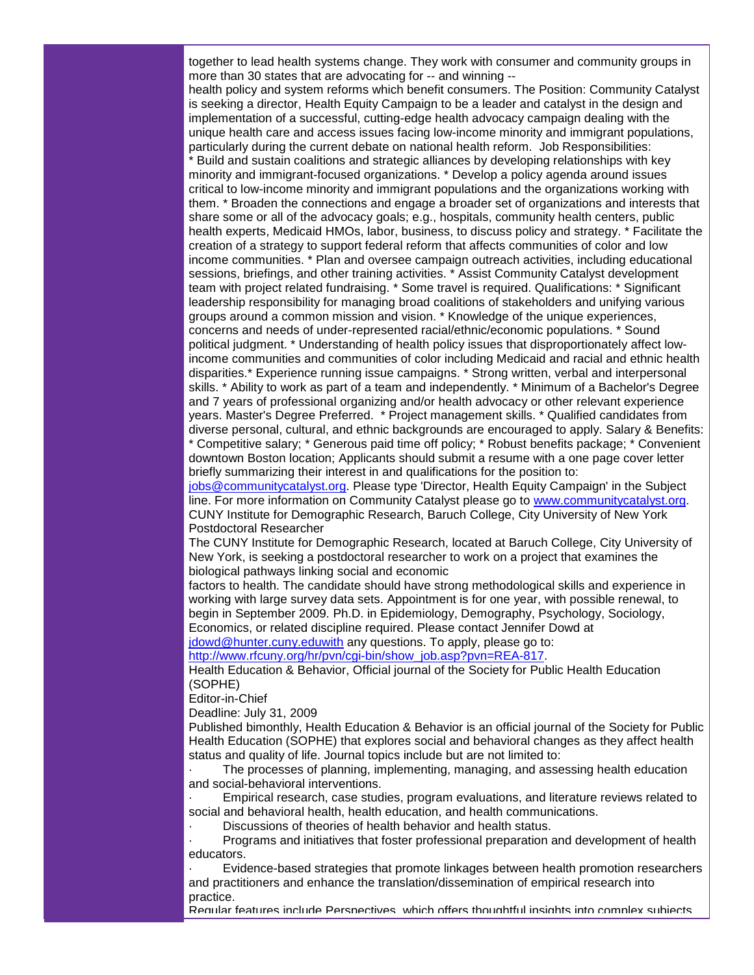together to lead health systems change. They work with consumer and community groups in more than 30 states that are advocating for -- and winning --

health policy and system reforms which benefit consumers. The Position: Community Catalyst is seeking a director, Health Equity Campaign to be a leader and catalyst in the design and implementation of a successful, cutting-edge health advocacy campaign dealing with the unique health care and access issues facing low-income minority and immigrant populations, particularly during the current debate on national health reform. Job Responsibilities:

\* Build and sustain coalitions and strategic alliances by developing relationships with key minority and immigrant-focused organizations. \* Develop a policy agenda around issues critical to low-income minority and immigrant populations and the organizations working with them. \* Broaden the connections and engage a broader set of organizations and interests that share some or all of the advocacy goals; e.g., hospitals, community health centers, public health experts, Medicaid HMOs, labor, business, to discuss policy and strategy. \* Facilitate the creation of a strategy to support federal reform that affects communities of color and low income communities. \* Plan and oversee campaign outreach activities, including educational sessions, briefings, and other training activities. \* Assist Community Catalyst development team with project related fundraising. \* Some travel is required. Qualifications: \* Significant leadership responsibility for managing broad coalitions of stakeholders and unifying various groups around a common mission and vision. \* Knowledge of the unique experiences, concerns and needs of under-represented racial/ethnic/economic populations. \* Sound political judgment. \* Understanding of health policy issues that disproportionately affect lowincome communities and communities of color including Medicaid and racial and ethnic health disparities.\* Experience running issue campaigns. \* Strong written, verbal and interpersonal skills. \* Ability to work as part of a team and independently. \* Minimum of a Bachelor's Degree and 7 years of professional organizing and/or health advocacy or other relevant experience years. Master's Degree Preferred. \* Project management skills. \* Qualified candidates from diverse personal, cultural, and ethnic backgrounds are encouraged to apply. Salary & Benefits: \* Competitive salary; \* Generous paid time off policy; \* Robust benefits package; \* Convenient downtown Boston location; Applicants should submit a resume with a one page cover letter

briefly summarizing their interest in and qualifications for the position to: [jobs@communitycatalyst.org.](mailto:jobs@communitycatalyst.org) Please type 'Director, Health Equity Campaign' in the Subject line. For more information on Community Catalyst please go to [www.communitycatalyst.org.](http://www.communitycatalyst.org/) CUNY Institute for Demographic Research, Baruch College, City University of New York Postdoctoral Researcher

The CUNY Institute for Demographic Research, located at Baruch College, City University of New York, is seeking a postdoctoral researcher to work on a project that examines the biological pathways linking social and economic

factors to health. The candidate should have strong methodological skills and experience in working with large survey data sets. Appointment is for one year, with possible renewal, to begin in September 2009. Ph.D. in Epidemiology, Demography, Psychology, Sociology, Economics, or related discipline required. Please contact Jennifer Dowd at [jdowd@hunter.cuny.eduwith](mailto:jdowd@hunter.cuny.eduwith) any questions. To apply, please go to:

[http://www.rfcuny.org/hr/pvn/cgi-bin/show\\_job.asp?pvn=REA-817.](http://www.rfcuny.org/hr/pvn/cgi-bin/show_job.asp?pvn=REA-817)

Health Education & Behavior, Official journal of the Society for Public Health Education (SOPHE)

Editor-in-Chief

Deadline: July 31, 2009

Published bimonthly, Health Education & Behavior is an official journal of the Society for Public Health Education (SOPHE) that explores social and behavioral changes as they affect health status and quality of life. Journal topics include but are not limited to:

· The processes of planning, implementing, managing, and assessing health education and social-behavioral interventions.

· Empirical research, case studies, program evaluations, and literature reviews related to social and behavioral health, health education, and health communications.

Discussions of theories of health behavior and health status.

· Programs and initiatives that foster professional preparation and development of health educators.

Evidence-based strategies that promote linkages between health promotion researchers and practitioners and enhance the translation/dissemination of empirical research into practice.

Regular features include Perspectives, which offers thoughtful insights into complex subjects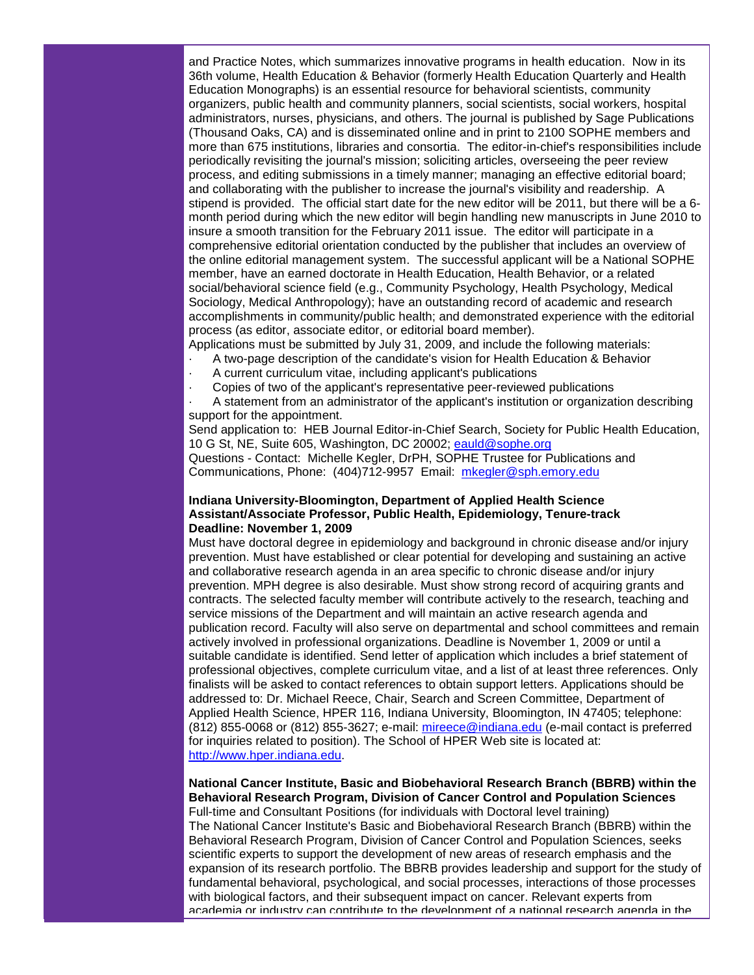and Practice Notes, which summarizes innovative programs in health education. Now in its 36th volume, Health Education & Behavior (formerly Health Education Quarterly and Health Education Monographs) is an essential resource for behavioral scientists, community organizers, public health and community planners, social scientists, social workers, hospital administrators, nurses, physicians, and others. The journal is published by Sage Publications (Thousand Oaks, CA) and is disseminated online and in print to 2100 SOPHE members and more than 675 institutions, libraries and consortia. The editor-in-chief's responsibilities include periodically revisiting the journal's mission; soliciting articles, overseeing the peer review process, and editing submissions in a timely manner; managing an effective editorial board; and collaborating with the publisher to increase the journal's visibility and readership. A stipend is provided. The official start date for the new editor will be 2011, but there will be a 6 month period during which the new editor will begin handling new manuscripts in June 2010 to insure a smooth transition for the February 2011 issue. The editor will participate in a comprehensive editorial orientation conducted by the publisher that includes an overview of the online editorial management system. The successful applicant will be a National SOPHE member, have an earned doctorate in Health Education, Health Behavior, or a related social/behavioral science field (e.g., Community Psychology, Health Psychology, Medical Sociology, Medical Anthropology); have an outstanding record of academic and research accomplishments in community/public health; and demonstrated experience with the editorial process (as editor, associate editor, or editorial board member).

Applications must be submitted by July 31, 2009, and include the following materials:

- · A two-page description of the candidate's vision for Health Education & Behavior
- A current curriculum vitae, including applicant's publications
- Copies of two of the applicant's representative peer-reviewed publications

· A statement from an administrator of the applicant's institution or organization describing support for the appointment.

Send application to: HEB Journal Editor-in-Chief Search, Society for Public Health Education, 10 G St, NE, Suite 605, Washington, DC 20002; [eauld@sophe.org](mailto:eauld@sophe.org)

Questions - Contact: Michelle Kegler, DrPH, SOPHE Trustee for Publications and Communications, Phone: (404)712-9957 Email: [mkegler@sph.emory.edu](mailto:mkegler@sph.emory.edu)

## **Indiana University-Bloomington, Department of Applied Health Science Assistant/Associate Professor, Public Health, Epidemiology, Tenure-track Deadline: November 1, 2009**

Must have doctoral degree in epidemiology and background in chronic disease and/or injury prevention. Must have established or clear potential for developing and sustaining an active and collaborative research agenda in an area specific to chronic disease and/or injury prevention. MPH degree is also desirable. Must show strong record of acquiring grants and contracts. The selected faculty member will contribute actively to the research, teaching and service missions of the Department and will maintain an active research agenda and publication record. Faculty will also serve on departmental and school committees and remain actively involved in professional organizations. Deadline is November 1, 2009 or until a suitable candidate is identified. Send letter of application which includes a brief statement of professional objectives, complete curriculum vitae, and a list of at least three references. Only finalists will be asked to contact references to obtain support letters. Applications should be addressed to: Dr. Michael Reece, Chair, Search and Screen Committee, Department of Applied Health Science, HPER 116, Indiana University, Bloomington, IN 47405; telephone: (812) 855-0068 or (812) 855-3627; e-mail: [mireece@indiana.edu](mailto:mireece@indiana.edu) (e-mail contact is preferred for inquiries related to position). The School of HPER Web site is located at: [http://www.hper.indiana.edu.](http://www.hper.indiana.edu/)

## **National Cancer Institute, Basic and Biobehavioral Research Branch (BBRB) within the Behavioral Research Program, Division of Cancer Control and Population Sciences**

Full-time and Consultant Positions (for individuals with Doctoral level training) The National Cancer Institute's Basic and Biobehavioral Research Branch (BBRB) within the Behavioral Research Program, Division of Cancer Control and Population Sciences, seeks scientific experts to support the development of new areas of research emphasis and the expansion of its research portfolio. The BBRB provides leadership and support for the study of fundamental behavioral, psychological, and social processes, interactions of those processes with biological factors, and their subsequent impact on cancer. Relevant experts from academia or industry can contribute to the development of a national research agenda in the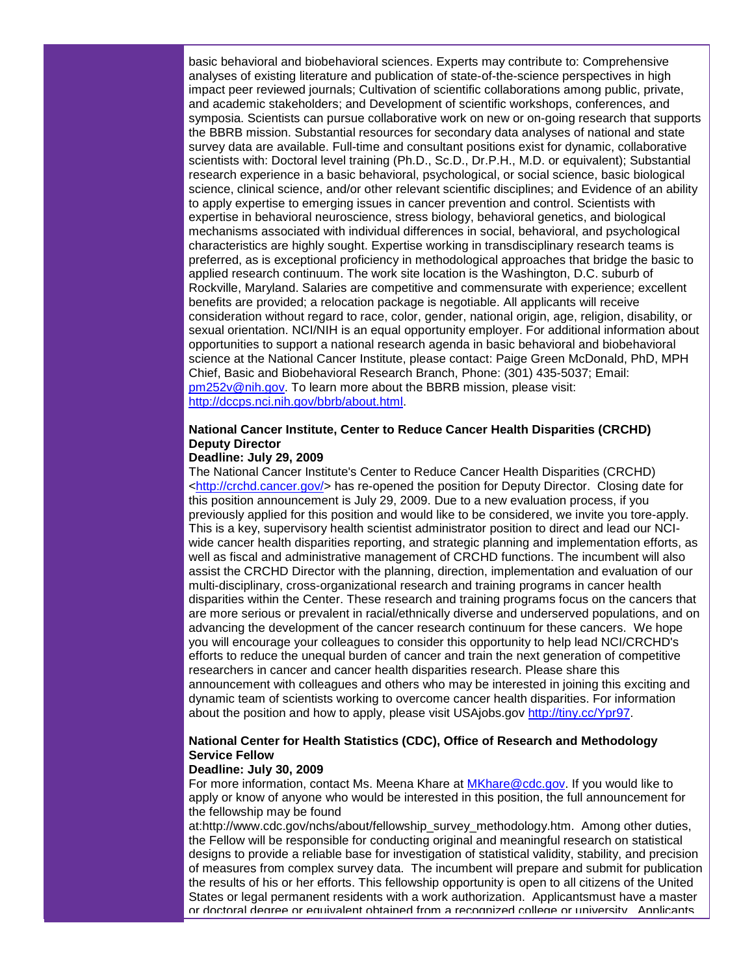basic behavioral and biobehavioral sciences. Experts may contribute to: Comprehensive analyses of existing literature and publication of state-of-the-science perspectives in high impact peer reviewed journals; Cultivation of scientific collaborations among public, private, and academic stakeholders; and Development of scientific workshops, conferences, and symposia. Scientists can pursue collaborative work on new or on-going research that supports the BBRB mission. Substantial resources for secondary data analyses of national and state survey data are available. Full-time and consultant positions exist for dynamic, collaborative scientists with: Doctoral level training (Ph.D., Sc.D., Dr.P.H., M.D. or equivalent); Substantial research experience in a basic behavioral, psychological, or social science, basic biological science, clinical science, and/or other relevant scientific disciplines; and Evidence of an ability to apply expertise to emerging issues in cancer prevention and control. Scientists with expertise in behavioral neuroscience, stress biology, behavioral genetics, and biological mechanisms associated with individual differences in social, behavioral, and psychological characteristics are highly sought. Expertise working in transdisciplinary research teams is preferred, as is exceptional proficiency in methodological approaches that bridge the basic to applied research continuum. The work site location is the Washington, D.C. suburb of Rockville, Maryland. Salaries are competitive and commensurate with experience; excellent benefits are provided; a relocation package is negotiable. All applicants will receive consideration without regard to race, color, gender, national origin, age, religion, disability, or sexual orientation. NCI/NIH is an equal opportunity employer. For additional information about opportunities to support a national research agenda in basic behavioral and biobehavioral science at the National Cancer Institute, please contact: Paige Green McDonald, PhD, MPH Chief, Basic and Biobehavioral Research Branch, Phone: (301) 435-5037; Email: [pm252v@nih.gov.](mailto:pm252v@nih.gov) To learn more about the BBRB mission, please visit: [http://dccps.nci.nih.gov/bbrb/about.html.](http://dccps.nci.nih.gov/bbrb/about.html)

# **National Cancer Institute, Center to Reduce Cancer Health Disparities (CRCHD) Deputy Director**

#### **Deadline: July 29, 2009**

The National Cancer Institute's Center to Reduce Cancer Health Disparities (CRCHD) [<http://crchd.cancer.gov/>](http://crchd.cancer.gov/) has re-opened the position for Deputy Director. Closing date for this position announcement is July 29, 2009. Due to a new evaluation process, if you previously applied for this position and would like to be considered, we invite you tore-apply. This is a key, supervisory health scientist administrator position to direct and lead our NCIwide cancer health disparities reporting, and strategic planning and implementation efforts, as well as fiscal and administrative management of CRCHD functions. The incumbent will also assist the CRCHD Director with the planning, direction, implementation and evaluation of our multi-disciplinary, cross-organizational research and training programs in cancer health disparities within the Center. These research and training programs focus on the cancers that are more serious or prevalent in racial/ethnically diverse and underserved populations, and on advancing the development of the cancer research continuum for these cancers. We hope you will encourage your colleagues to consider this opportunity to help lead NCI/CRCHD's efforts to reduce the unequal burden of cancer and train the next generation of competitive researchers in cancer and cancer health disparities research. Please share this announcement with colleagues and others who may be interested in joining this exciting and dynamic team of scientists working to overcome cancer health disparities. For information about the position and how to apply, please visit USAjobs.gov [http://tiny.cc/Ypr97.](http://tiny.cc/Ypr97)

## **National Center for Health Statistics (CDC), Office of Research and Methodology Service Fellow**

#### **Deadline: July 30, 2009**

For more information, contact Ms. Meena Khare at [MKhare@cdc.gov.](mailto:MKhare@cdc.gov) If you would like to apply or know of anyone who would be interested in this position, the full announcement for the fellowship may be found

at:http://www.cdc.gov/nchs/about/fellowship\_survey\_methodology.htm. Among other duties, the Fellow will be responsible for conducting original and meaningful research on statistical designs to provide a reliable base for investigation of statistical validity, stability, and precision of measures from complex survey data. The incumbent will prepare and submit for publication the results of his or her efforts. This fellowship opportunity is open to all citizens of the United States or legal permanent residents with a work authorization. Applicantsmust have a master or doctoral degree or equivalent obtained from a recognized college or university. Applicants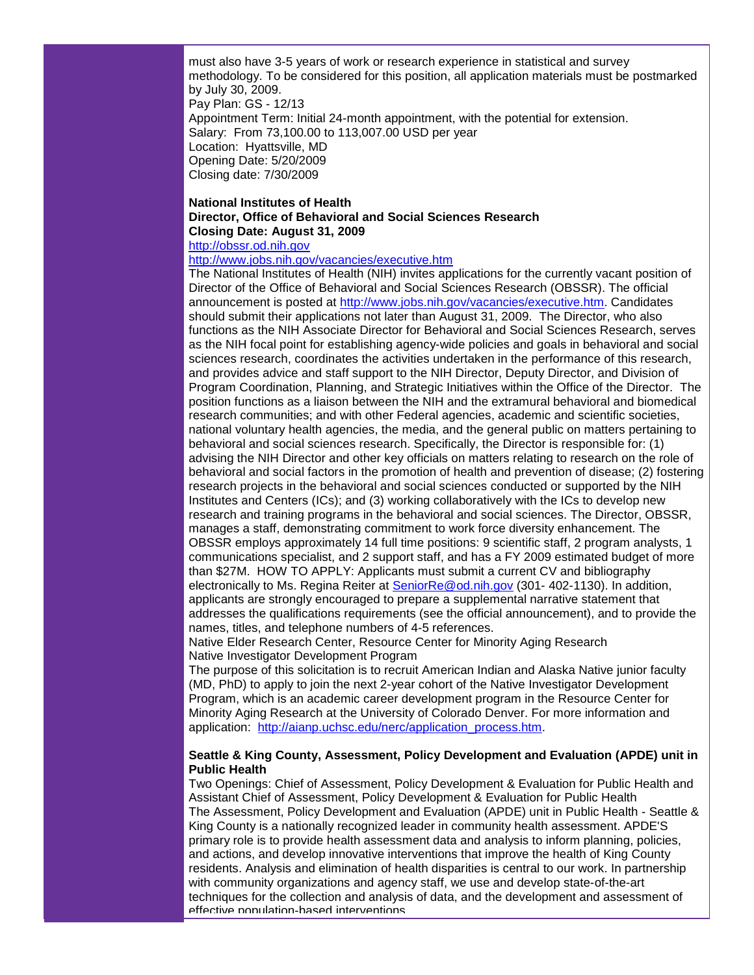must also have 3-5 years of work or research experience in statistical and survey methodology. To be considered for this position, all application materials must be postmarked by July 30, 2009. Pay Plan: GS - 12/13 Appointment Term: Initial 24-month appointment, with the potential for extension. Salary: From 73,100.00 to 113,007.00 USD per year Location: Hyattsville, MD Opening Date: 5/20/2009 Closing date: 7/30/2009

## **National Institutes of Health Director, Office of Behavioral and Social Sciences Research Closing Date: August 31, 2009**

[http://obssr.od.nih.gov](http://obssr.od.nih.gov/)

<http://www.jobs.nih.gov/vacancies/executive.htm>

The National Institutes of Health (NIH) invites applications for the currently vacant position of Director of the Office of Behavioral and Social Sciences Research (OBSSR). The official announcement is posted at [http://www.jobs.nih.gov/vacancies/executive.htm.](http://www.jobs.nih.gov/vacancies/executive.htm) Candidates should submit their applications not later than August 31, 2009. The Director, who also functions as the NIH Associate Director for Behavioral and Social Sciences Research, serves as the NIH focal point for establishing agency-wide policies and goals in behavioral and social sciences research, coordinates the activities undertaken in the performance of this research, and provides advice and staff support to the NIH Director, Deputy Director, and Division of Program Coordination, Planning, and Strategic Initiatives within the Office of the Director. The position functions as a liaison between the NIH and the extramural behavioral and biomedical research communities; and with other Federal agencies, academic and scientific societies, national voluntary health agencies, the media, and the general public on matters pertaining to behavioral and social sciences research. Specifically, the Director is responsible for: (1) advising the NIH Director and other key officials on matters relating to research on the role of behavioral and social factors in the promotion of health and prevention of disease; (2) fostering research projects in the behavioral and social sciences conducted or supported by the NIH Institutes and Centers (ICs); and (3) working collaboratively with the ICs to develop new research and training programs in the behavioral and social sciences. The Director, OBSSR, manages a staff, demonstrating commitment to work force diversity enhancement. The OBSSR employs approximately 14 full time positions: 9 scientific staff, 2 program analysts, 1 communications specialist, and 2 support staff, and has a FY 2009 estimated budget of more than \$27M. HOW TO APPLY: Applicants must submit a current CV and bibliography electronically to Ms. Regina Reiter at [SeniorRe@od.nih.gov](mailto:SeniorRe@od.nih.gov) (301- 402-1130). In addition, applicants are strongly encouraged to prepare a supplemental narrative statement that addresses the qualifications requirements (see the official announcement), and to provide the names, titles, and telephone numbers of 4-5 references.

Native Elder Research Center, Resource Center for Minority Aging Research Native Investigator Development Program

The purpose of this solicitation is to recruit American Indian and Alaska Native junior faculty (MD, PhD) to apply to join the next 2-year cohort of the Native Investigator Development Program, which is an academic career development program in the Resource Center for Minority Aging Research at the University of Colorado Denver. For more information and application: [http://aianp.uchsc.edu/nerc/application\\_process.htm.](http://aianp.uchsc.edu/nerc/application_process.htm)

## **Seattle & King County, Assessment, Policy Development and Evaluation (APDE) unit in Public Health**

Two Openings: Chief of Assessment, Policy Development & Evaluation for Public Health and Assistant Chief of Assessment, Policy Development & Evaluation for Public Health The Assessment, Policy Development and Evaluation (APDE) unit in Public Health - Seattle & King County is a nationally recognized leader in community health assessment. APDE'S primary role is to provide health assessment data and analysis to inform planning, policies, and actions, and develop innovative interventions that improve the health of King County residents. Analysis and elimination of health disparities is central to our work. In partnership with community organizations and agency staff, we use and develop state-of-the-art techniques for the collection and analysis of data, and the development and assessment of effective population-based interventions.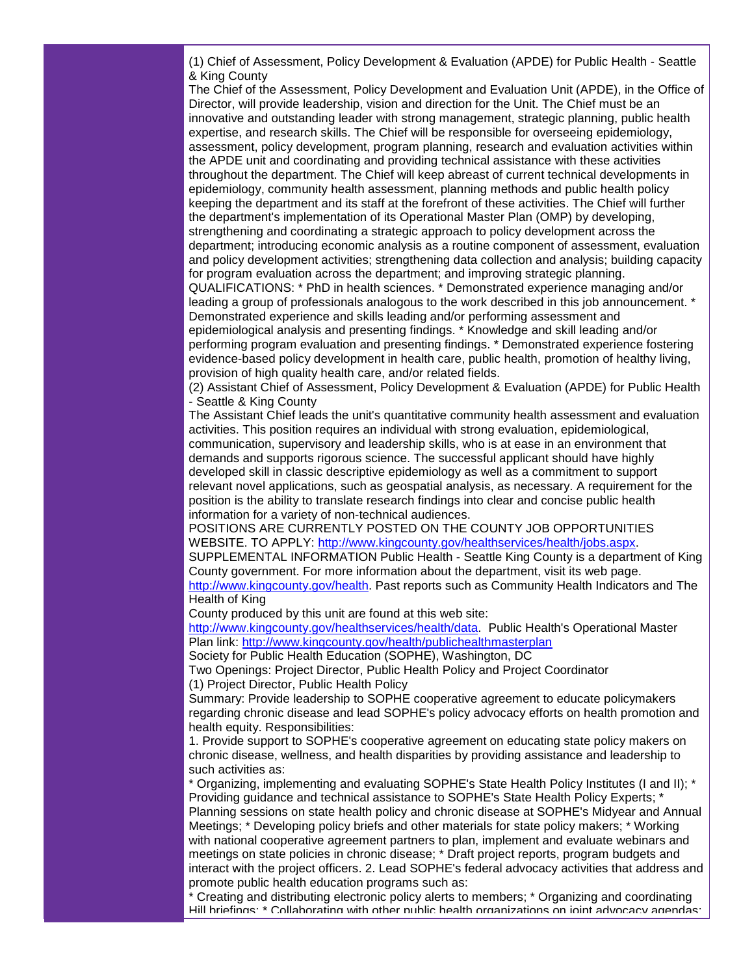(1) Chief of Assessment, Policy Development & Evaluation (APDE) for Public Health - Seattle & King County

The Chief of the Assessment, Policy Development and Evaluation Unit (APDE), in the Office of Director, will provide leadership, vision and direction for the Unit. The Chief must be an innovative and outstanding leader with strong management, strategic planning, public health expertise, and research skills. The Chief will be responsible for overseeing epidemiology, assessment, policy development, program planning, research and evaluation activities within the APDE unit and coordinating and providing technical assistance with these activities throughout the department. The Chief will keep abreast of current technical developments in epidemiology, community health assessment, planning methods and public health policy keeping the department and its staff at the forefront of these activities. The Chief will further the department's implementation of its Operational Master Plan (OMP) by developing, strengthening and coordinating a strategic approach to policy development across the department; introducing economic analysis as a routine component of assessment, evaluation and policy development activities; strengthening data collection and analysis; building capacity for program evaluation across the department; and improving strategic planning.

QUALIFICATIONS: \* PhD in health sciences. \* Demonstrated experience managing and/or leading a group of professionals analogous to the work described in this job announcement. \* Demonstrated experience and skills leading and/or performing assessment and epidemiological analysis and presenting findings. \* Knowledge and skill leading and/or performing program evaluation and presenting findings. \* Demonstrated experience fostering evidence-based policy development in health care, public health, promotion of healthy living, provision of high quality health care, and/or related fields.

(2) Assistant Chief of Assessment, Policy Development & Evaluation (APDE) for Public Health - Seattle & King County

The Assistant Chief leads the unit's quantitative community health assessment and evaluation activities. This position requires an individual with strong evaluation, epidemiological, communication, supervisory and leadership skills, who is at ease in an environment that demands and supports rigorous science. The successful applicant should have highly developed skill in classic descriptive epidemiology as well as a commitment to support relevant novel applications, such as geospatial analysis, as necessary. A requirement for the position is the ability to translate research findings into clear and concise public health information for a variety of non-technical audiences.

POSITIONS ARE CURRENTLY POSTED ON THE COUNTY JOB OPPORTUNITIES WEBSITE. TO APPLY: [http://www.kingcounty.gov/healthservices/health/jobs.aspx.](http://www.kingcounty.gov/healthservices/health/jobs.aspx)

SUPPLEMENTAL INFORMATION Public Health - Seattle King County is a department of King County government. For more information about the department, visit its web page. [http://www.kingcounty.gov/health.](http://www.kingcounty.gov/health) Past reports such as Community Health Indicators and The

Health of King

County produced by this unit are found at this web site:

[http://www.kingcounty.gov/healthservices/health/data.](http://www.kingcounty.gov/healthservices/health/data) Public Health's Operational Master Plan link:<http://www.kingcounty.gov/health/publichealthmasterplan>

Society for Public Health Education (SOPHE), Washington, DC

Two Openings: Project Director, Public Health Policy and Project Coordinator (1) Project Director, Public Health Policy

Summary: Provide leadership to SOPHE cooperative agreement to educate policymakers regarding chronic disease and lead SOPHE's policy advocacy efforts on health promotion and health equity. Responsibilities:

1. Provide support to SOPHE's cooperative agreement on educating state policy makers on chronic disease, wellness, and health disparities by providing assistance and leadership to such activities as:

\* Organizing, implementing and evaluating SOPHE's State Health Policy Institutes (I and II); \* Providing guidance and technical assistance to SOPHE's State Health Policy Experts; \* Planning sessions on state health policy and chronic disease at SOPHE's Midyear and Annual Meetings; \* Developing policy briefs and other materials for state policy makers; \* Working with national cooperative agreement partners to plan, implement and evaluate webinars and meetings on state policies in chronic disease; \* Draft project reports, program budgets and interact with the project officers. 2. Lead SOPHE's federal advocacy activities that address and promote public health education programs such as:

\* Creating and distributing electronic policy alerts to members; \* Organizing and coordinating Hill briefings; \* Collaborating with other public health organizations on joint advocacy agendas;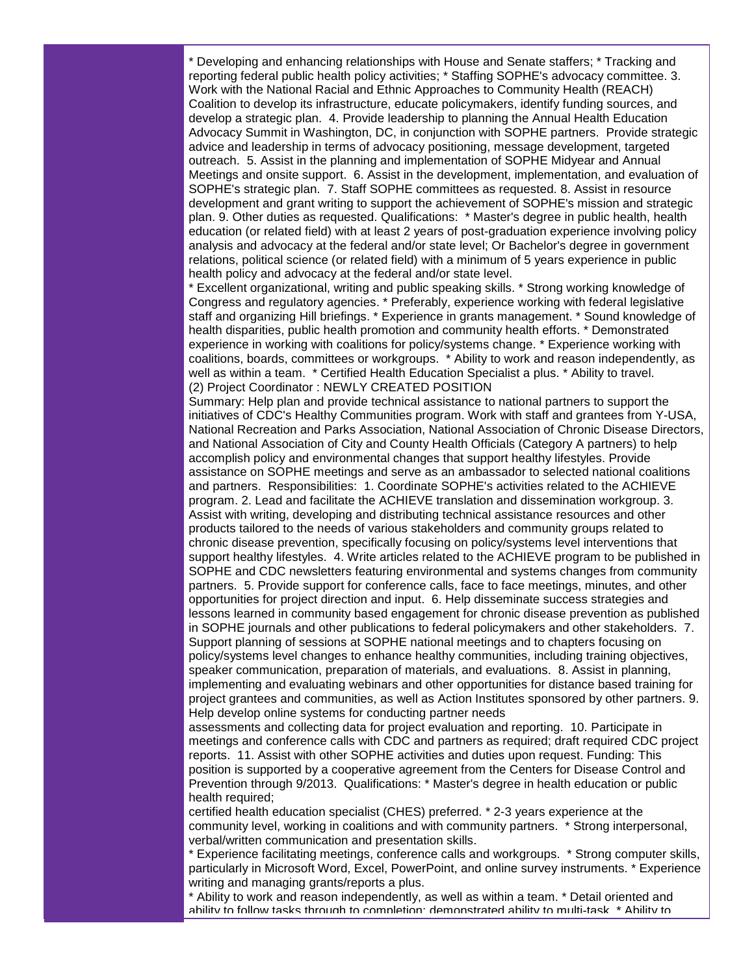\* Developing and enhancing relationships with House and Senate staffers; \* Tracking and reporting federal public health policy activities; \* Staffing SOPHE's advocacy committee. 3. Work with the National Racial and Ethnic Approaches to Community Health (REACH) Coalition to develop its infrastructure, educate policymakers, identify funding sources, and develop a strategic plan. 4. Provide leadership to planning the Annual Health Education Advocacy Summit in Washington, DC, in conjunction with SOPHE partners. Provide strategic advice and leadership in terms of advocacy positioning, message development, targeted outreach. 5. Assist in the planning and implementation of SOPHE Midyear and Annual Meetings and onsite support. 6. Assist in the development, implementation, and evaluation of SOPHE's strategic plan. 7. Staff SOPHE committees as requested. 8. Assist in resource development and grant writing to support the achievement of SOPHE's mission and strategic plan. 9. Other duties as requested. Qualifications: \* Master's degree in public health, health education (or related field) with at least 2 years of post-graduation experience involving policy analysis and advocacy at the federal and/or state level; Or Bachelor's degree in government relations, political science (or related field) with a minimum of 5 years experience in public health policy and advocacy at the federal and/or state level.

\* Excellent organizational, writing and public speaking skills. \* Strong working knowledge of Congress and regulatory agencies. \* Preferably, experience working with federal legislative staff and organizing Hill briefings. \* Experience in grants management. \* Sound knowledge of health disparities, public health promotion and community health efforts. \* Demonstrated experience in working with coalitions for policy/systems change. \* Experience working with coalitions, boards, committees or workgroups. \* Ability to work and reason independently, as well as within a team. \* Certified Health Education Specialist a plus. \* Ability to travel. (2) Project Coordinator : NEWLY CREATED POSITION

Summary: Help plan and provide technical assistance to national partners to support the initiatives of CDC's Healthy Communities program. Work with staff and grantees from Y-USA, National Recreation and Parks Association, National Association of Chronic Disease Directors, and National Association of City and County Health Officials (Category A partners) to help accomplish policy and environmental changes that support healthy lifestyles. Provide assistance on SOPHE meetings and serve as an ambassador to selected national coalitions and partners. Responsibilities: 1. Coordinate SOPHE's activities related to the ACHIEVE program. 2. Lead and facilitate the ACHIEVE translation and dissemination workgroup. 3. Assist with writing, developing and distributing technical assistance resources and other products tailored to the needs of various stakeholders and community groups related to chronic disease prevention, specifically focusing on policy/systems level interventions that support healthy lifestyles. 4. Write articles related to the ACHIEVE program to be published in SOPHE and CDC newsletters featuring environmental and systems changes from community partners. 5. Provide support for conference calls, face to face meetings, minutes, and other opportunities for project direction and input. 6. Help disseminate success strategies and lessons learned in community based engagement for chronic disease prevention as published in SOPHE journals and other publications to federal policymakers and other stakeholders. 7. Support planning of sessions at SOPHE national meetings and to chapters focusing on policy/systems level changes to enhance healthy communities, including training objectives, speaker communication, preparation of materials, and evaluations. 8. Assist in planning, implementing and evaluating webinars and other opportunities for distance based training for project grantees and communities, as well as Action Institutes sponsored by other partners. 9. Help develop online systems for conducting partner needs

assessments and collecting data for project evaluation and reporting. 10. Participate in meetings and conference calls with CDC and partners as required; draft required CDC project reports. 11. Assist with other SOPHE activities and duties upon request. Funding: This position is supported by a cooperative agreement from the Centers for Disease Control and Prevention through 9/2013. Qualifications: \* Master's degree in health education or public health required;

certified health education specialist (CHES) preferred. \* 2-3 years experience at the community level, working in coalitions and with community partners. \* Strong interpersonal, verbal/written communication and presentation skills.

\* Experience facilitating meetings, conference calls and workgroups. \* Strong computer skills, particularly in Microsoft Word, Excel, PowerPoint, and online survey instruments. \* Experience writing and managing grants/reports a plus.

\* Ability to work and reason independently, as well as within a team. \* Detail oriented and ability to follow tasks through to completion; demonstrated ability to multi-task. \* Ability to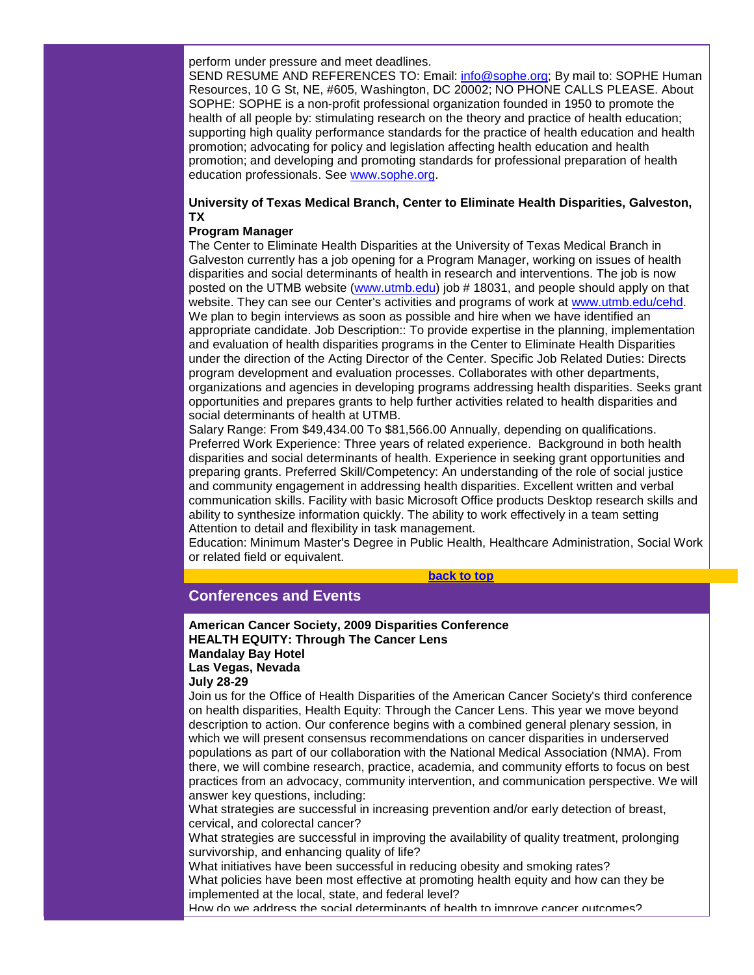perform under pressure and meet deadlines.

SEND RESUME AND REFERENCES TO: Email: [info@sophe.org;](mailto:info@sophe.org) By mail to: SOPHE Human Resources, 10 G St, NE, #605, Washington, DC 20002; NO PHONE CALLS PLEASE. About SOPHE: SOPHE is a non-profit professional organization founded in 1950 to promote the health of all people by: stimulating research on the theory and practice of health education; supporting high quality performance standards for the practice of health education and health promotion; advocating for policy and legislation affecting health education and health promotion; and developing and promoting standards for professional preparation of health education professionals. See [www.sophe.org.](http://www.sophe.org/)

## **University of Texas Medical Branch, Center to Eliminate Health Disparities, Galveston, TX**

#### **Program Manager**

The Center to Eliminate Health Disparities at the University of Texas Medical Branch in Galveston currently has a job opening for a Program Manager, working on issues of health disparities and social determinants of health in research and interventions. The job is now posted on the UTMB website [\(www.utmb.edu\)](http://www.utmb.edu/) job # 18031, and people should apply on that website. They can see our Center's activities and programs of work at [www.utmb.edu/cehd.](http://www.utmb.edu/cehd) We plan to begin interviews as soon as possible and hire when we have identified an appropriate candidate. Job Description:: To provide expertise in the planning, implementation and evaluation of health disparities programs in the Center to Eliminate Health Disparities under the direction of the Acting Director of the Center. Specific Job Related Duties: Directs program development and evaluation processes. Collaborates with other departments, organizations and agencies in developing programs addressing health disparities. Seeks grant opportunities and prepares grants to help further activities related to health disparities and social determinants of health at UTMB.

Salary Range: From \$49,434.00 To \$81,566.00 Annually, depending on qualifications. Preferred Work Experience: Three years of related experience. Background in both health disparities and social determinants of health. Experience in seeking grant opportunities and preparing grants. Preferred Skill/Competency: An understanding of the role of social justice and community engagement in addressing health disparities. Excellent written and verbal communication skills. Facility with basic Microsoft Office products Desktop research skills and ability to synthesize information quickly. The ability to work effectively in a team setting Attention to detail and flexibility in task management.

Education: Minimum Master's Degree in Public Health, Healthcare Administration, Social Work or related field or equivalent.

#### **[back to top](#page-0-1)**

# <span id="page-13-0"></span>**Conferences and Events**

## **American Cancer Society, 2009 Disparities Conference HEALTH EQUITY: Through The Cancer Lens Mandalay Bay Hotel Las Vegas, Nevada**

**July 28-29**

Join us for the Office of Health Disparities of the American Cancer Society's third conference on health disparities, Health Equity: Through the Cancer Lens. This year we move beyond description to action. Our conference begins with a combined general plenary session, in which we will present consensus recommendations on cancer disparities in underserved populations as part of our collaboration with the National Medical Association (NMA). From there, we will combine research, practice, academia, and community efforts to focus on best practices from an advocacy, community intervention, and communication perspective. We will answer key questions, including:

What strategies are successful in increasing prevention and/or early detection of breast, cervical, and colorectal cancer?

What strategies are successful in improving the availability of quality treatment, prolonging survivorship, and enhancing quality of life?

What initiatives have been successful in reducing obesity and smoking rates? What policies have been most effective at promoting health equity and how can they be implemented at the local, state, and federal level?

How do we address the social determinants of health to improve cancer outcomes?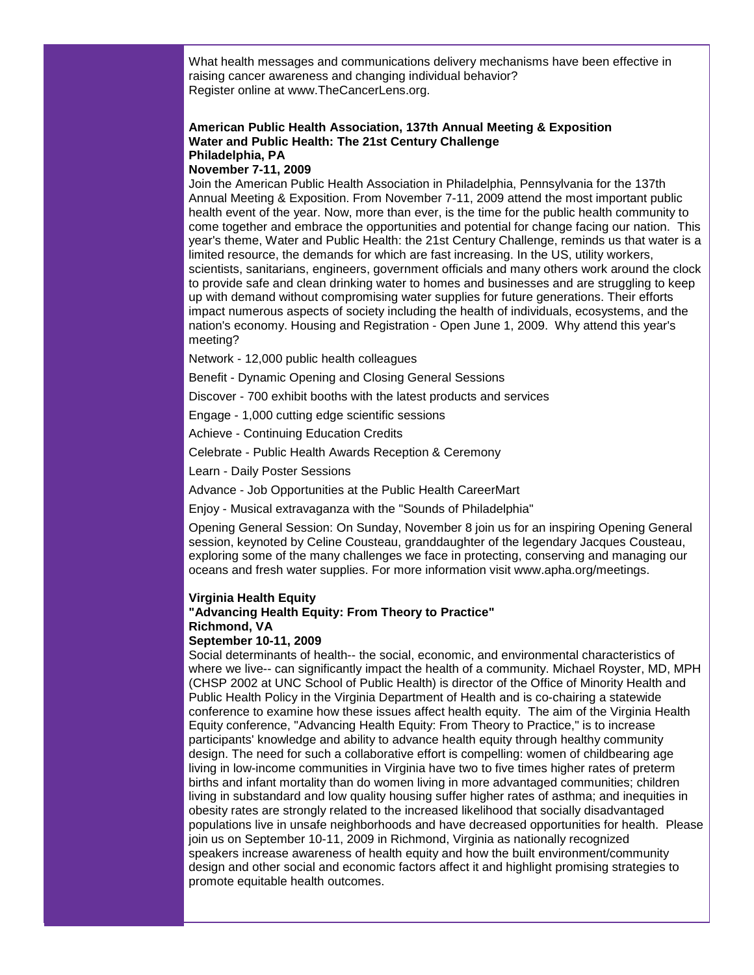What health messages and communications delivery mechanisms have been effective in raising cancer awareness and changing individual behavior? Register online at www.TheCancerLens.org.

# **American Public Health Association, 137th Annual Meeting & Exposition Water and Public Health: The 21st Century Challenge Philadelphia, PA**

# **November 7-11, 2009**

Join the American Public Health Association in Philadelphia, Pennsylvania for the 137th Annual Meeting & Exposition. From November 7-11, 2009 attend the most important public health event of the year. Now, more than ever, is the time for the public health community to come together and embrace the opportunities and potential for change facing our nation. This year's theme, Water and Public Health: the 21st Century Challenge, reminds us that water is a limited resource, the demands for which are fast increasing. In the US, utility workers, scientists, sanitarians, engineers, government officials and many others work around the clock to provide safe and clean drinking water to homes and businesses and are struggling to keep up with demand without compromising water supplies for future generations. Their efforts impact numerous aspects of society including the health of individuals, ecosystems, and the nation's economy. Housing and Registration - Open June 1, 2009. Why attend this year's meeting?

Network - 12,000 public health colleagues

Benefit - Dynamic Opening and Closing General Sessions

Discover - 700 exhibit booths with the latest products and services

Engage - 1,000 cutting edge scientific sessions

Achieve - Continuing Education Credits

Celebrate - Public Health Awards Reception & Ceremony

Learn - Daily Poster Sessions

Advance - Job Opportunities at the Public Health CareerMart

Enjoy - Musical extravaganza with the "Sounds of Philadelphia"

Opening General Session: On Sunday, November 8 join us for an inspiring Opening General session, keynoted by Celine Cousteau, granddaughter of the legendary Jacques Cousteau, exploring some of the many challenges we face in protecting, conserving and managing our oceans and fresh water supplies. For more information visit www.apha.org/meetings.

#### **Virginia Health Equity**

#### **"Advancing Health Equity: From Theory to Practice" Richmond, VA**

#### **September 10-11, 2009**

Social determinants of health-- the social, economic, and environmental characteristics of where we live-- can significantly impact the health of a community. Michael Royster, MD, MPH (CHSP 2002 at UNC School of Public Health) is director of the Office of Minority Health and Public Health Policy in the Virginia Department of Health and is co-chairing a statewide conference to examine how these issues affect health equity. The aim of the Virginia Health Equity conference, "Advancing Health Equity: From Theory to Practice," is to increase participants' knowledge and ability to advance health equity through healthy community design. The need for such a collaborative effort is compelling: women of childbearing age living in low-income communities in Virginia have two to five times higher rates of preterm births and infant mortality than do women living in more advantaged communities; children living in substandard and low quality housing suffer higher rates of asthma; and inequities in obesity rates are strongly related to the increased likelihood that socially disadvantaged populations live in unsafe neighborhoods and have decreased opportunities for health. Please join us on September 10-11, 2009 in Richmond, Virginia as nationally recognized speakers increase awareness of health equity and how the built environment/community design and other social and economic factors affect it and highlight promising strategies to promote equitable health outcomes.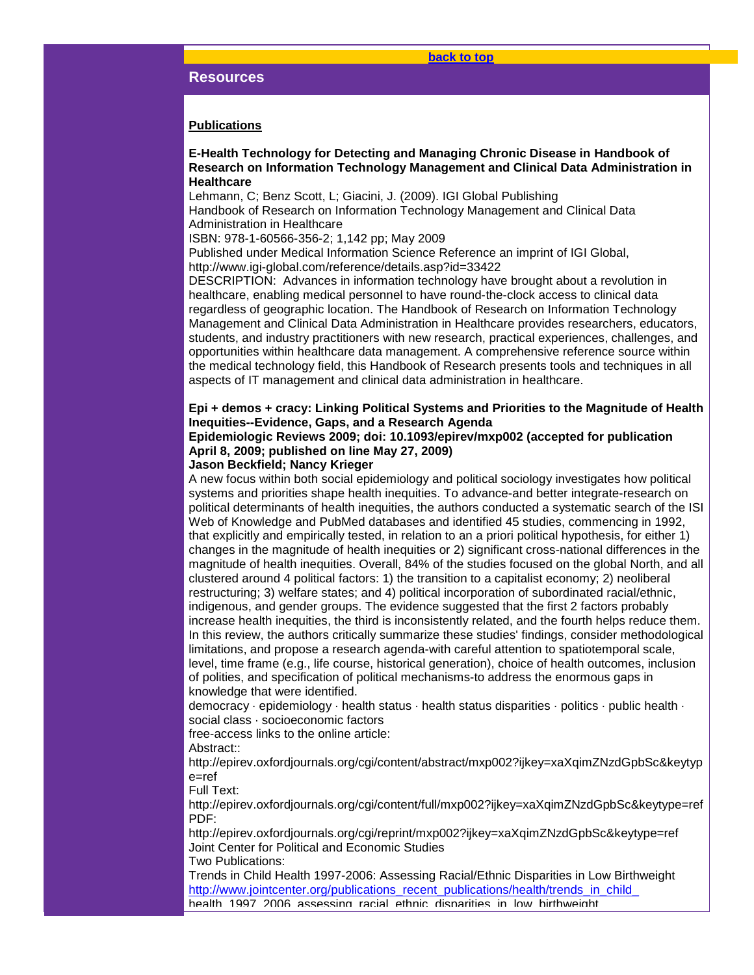#### **[back to top](#page-0-1)**

#### <span id="page-15-0"></span>**Resources**

#### **Publications**

## **E-Health Technology for Detecting and Managing Chronic Disease in Handbook of Research on Information Technology Management and Clinical Data Administration in Healthcare**

Lehmann, C; Benz Scott, L; Giacini, J. (2009). IGI Global Publishing Handbook of Research on Information Technology Management and Clinical Data Administration in Healthcare

ISBN: 978-1-60566-356-2; 1,142 pp; May 2009

Published under Medical Information Science Reference an imprint of IGI Global, http://www.igi-global.com/reference/details.asp?id=33422

DESCRIPTION: Advances in information technology have brought about a revolution in healthcare, enabling medical personnel to have round-the-clock access to clinical data regardless of geographic location. The Handbook of Research on Information Technology Management and Clinical Data Administration in Healthcare provides researchers, educators, students, and industry practitioners with new research, practical experiences, challenges, and opportunities within healthcare data management. A comprehensive reference source within the medical technology field, this Handbook of Research presents tools and techniques in all aspects of IT management and clinical data administration in healthcare.

## **Epi + demos + cracy: Linking Political Systems and Priorities to the Magnitude of Health Inequities--Evidence, Gaps, and a Research Agenda**

## **Epidemiologic Reviews 2009; doi: 10.1093/epirev/mxp002 (accepted for publication April 8, 2009; published on line May 27, 2009)**

#### **Jason Beckfield; Nancy Krieger**

A new focus within both social epidemiology and political sociology investigates how political systems and priorities shape health inequities. To advance-and better integrate-research on political determinants of health inequities, the authors conducted a systematic search of the ISI Web of Knowledge and PubMed databases and identified 45 studies, commencing in 1992, that explicitly and empirically tested, in relation to an a priori political hypothesis, for either 1) changes in the magnitude of health inequities or 2) significant cross-national differences in the magnitude of health inequities. Overall, 84% of the studies focused on the global North, and all clustered around 4 political factors: 1) the transition to a capitalist economy; 2) neoliberal restructuring; 3) welfare states; and 4) political incorporation of subordinated racial/ethnic, indigenous, and gender groups. The evidence suggested that the first 2 factors probably increase health inequities, the third is inconsistently related, and the fourth helps reduce them. In this review, the authors critically summarize these studies' findings, consider methodological limitations, and propose a research agenda-with careful attention to spatiotemporal scale, level, time frame (e.g., life course, historical generation), choice of health outcomes, inclusion of polities, and specification of political mechanisms-to address the enormous gaps in knowledge that were identified.

democracy · epidemiology · health status · health status disparities · politics · public health · social class · socioeconomic factors

free-access links to the online article:

Abstract::

http://epirev.oxfordjournals.org/cgi/content/abstract/mxp002?ijkey=xaXqimZNzdGpbSc&keytyp e=ref

Full Text:

http://epirev.oxfordjournals.org/cgi/content/full/mxp002?ijkey=xaXqimZNzdGpbSc&keytype=ref PDF:

http://epirev.oxfordjournals.org/cgi/reprint/mxp002?ijkey=xaXqimZNzdGpbSc&keytype=ref Joint Center for Political and Economic Studies

Two Publications:

Trends in Child Health 1997-2006: Assessing Racial/Ethnic Disparities in Low Birthweight http://www.jointcenter.org/publications\_recent\_publications/health/trends\_in\_child health\_1997\_2006\_assessing\_racial\_ethnic\_disparities\_in\_low\_birthweight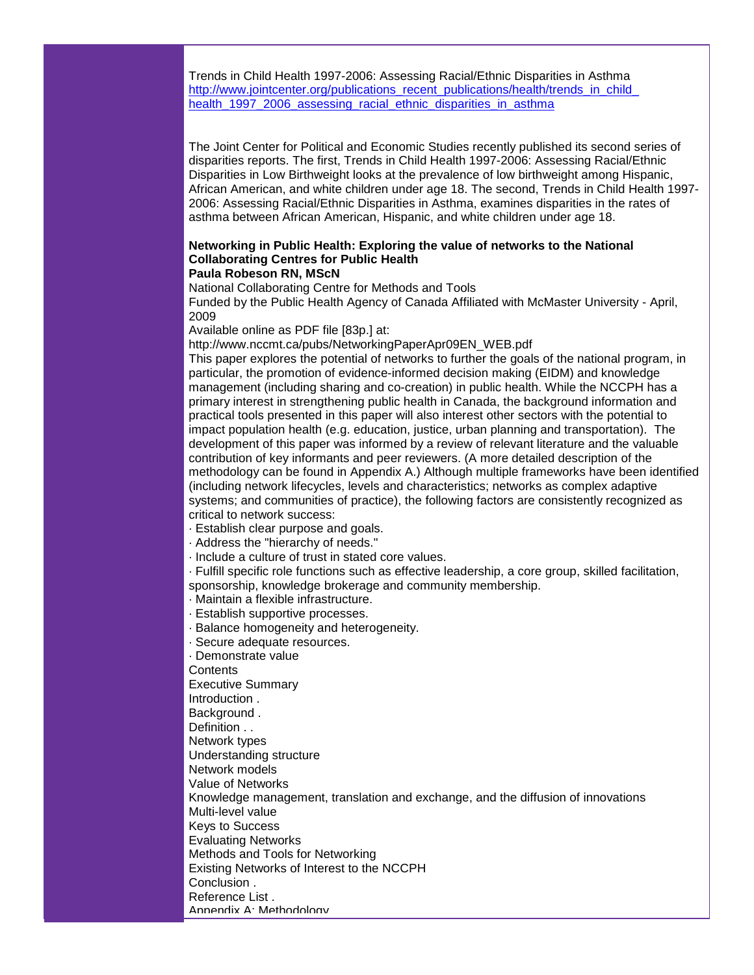Trends in Child Health 1997-2006: Assessing Racial/Ethnic Disparities in Asthma http://www.jointcenter.org/publications\_recent\_publications/health/trends\_in\_child [health\\_1997\\_2006\\_assessing\\_racial\\_ethnic\\_disparities\\_in\\_asthma](http://rs6.net/tn.jsp?et=1102616288417&s=1&e=001oqVoDQQcg4Kkz1ENL19Omay6RLK0AVtIU8XcxpFuRASuB3DfbP00Q9dUBGqbTpvy_ThlV0Ct7qLZ2vMbkHuDqSOwgMHFt5qOW5psZlyVl19_NWpjZMP7UY-rcpgun0sgga9rFvwZCIgdAIxxghNGbd9GbCRhILSKfEQ5UQCBOwnpGBhL8_l13T2fV0MTCSuUmjE9QpTF1NCvVUK-l_ehpo9ZdklJp4Lu2EM21GGiG_e8JXNG-jgp1Ujo6c4L1Zs97risHqf2XpAwF3mgarLaUA==)

The Joint Center for Political and Economic Studies recently published its second series of disparities reports. The first, Trends in Child Health 1997-2006: Assessing Racial/Ethnic Disparities in Low Birthweight looks at the prevalence of low birthweight among Hispanic, African American, and white children under age 18. The second, Trends in Child Health 1997- 2006: Assessing Racial/Ethnic Disparities in Asthma, examines disparities in the rates of asthma between African American, Hispanic, and white children under age 18.

#### **Networking in Public Health: Exploring the value of networks to the National Collaborating Centres for Public Health Paula Robeson RN, MScN**

National Collaborating Centre for Methods and Tools

Funded by the Public Health Agency of Canada Affiliated with McMaster University - April, 2009

Available online as PDF file [83p.] at:

http://www.nccmt.ca/pubs/NetworkingPaperApr09EN\_WEB.pdf

This paper explores the potential of networks to further the goals of the national program, in particular, the promotion of evidence-informed decision making (EIDM) and knowledge management (including sharing and co-creation) in public health. While the NCCPH has a primary interest in strengthening public health in Canada, the background information and practical tools presented in this paper will also interest other sectors with the potential to impact population health (e.g. education, justice, urban planning and transportation). The development of this paper was informed by a review of relevant literature and the valuable contribution of key informants and peer reviewers. (A more detailed description of the methodology can be found in Appendix A.) Although multiple frameworks have been identified (including network lifecycles, levels and characteristics; networks as complex adaptive systems; and communities of practice), the following factors are consistently recognized as critical to network success:

- · Establish clear purpose and goals.
- · Address the "hierarchy of needs."
- · Include a culture of trust in stated core values.

· Fulfill specific role functions such as effective leadership, a core group, skilled facilitation, sponsorship, knowledge brokerage and community membership.

· Maintain a flexible infrastructure.

- · Establish supportive processes.
- · Balance homogeneity and heterogeneity. · Secure adequate resources. · Demonstrate value **Contents** Executive Summary Introduction . Background . Definition . . Network types Understanding structure Network models Value of Networks Knowledge management, translation and exchange, and the diffusion of innovations Multi-level value Keys to Success Evaluating Networks Methods and Tools for Networking Existing Networks of Interest to the NCCPH Conclusion . Reference List . Appendix A: Methodology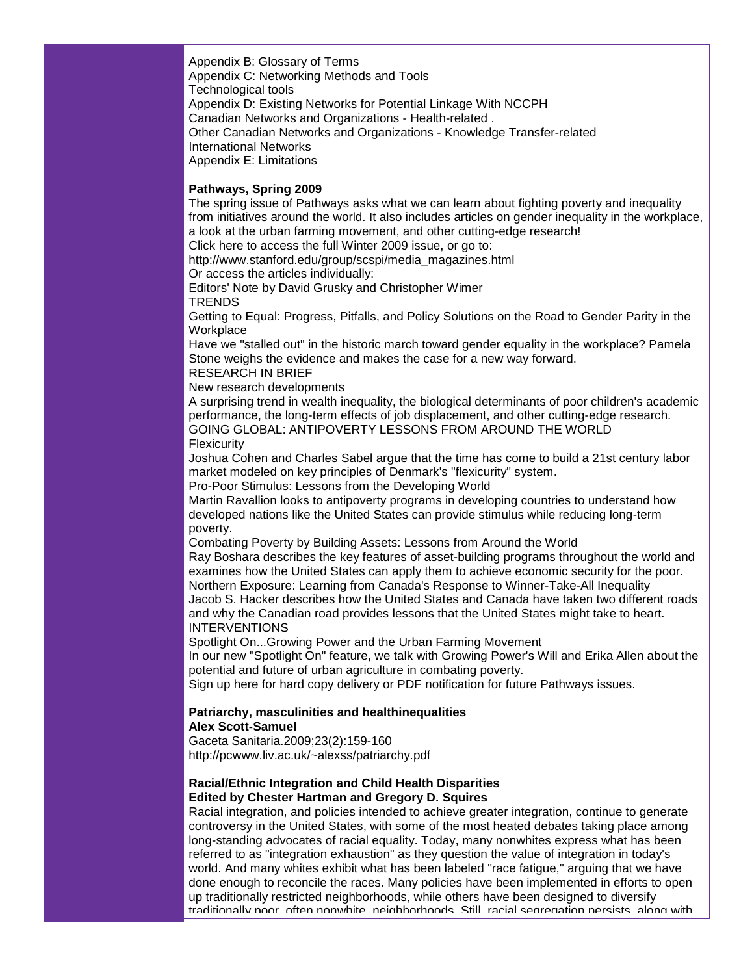Appendix B: Glossary of Terms Appendix C: Networking Methods and Tools Technological tools Appendix D: Existing Networks for Potential Linkage With NCCPH Canadian Networks and Organizations - Health-related . Other Canadian Networks and Organizations - Knowledge Transfer-related International Networks Appendix E: Limitations

## **Pathways, Spring 2009**

The spring issue of Pathways asks what we can learn about fighting poverty and inequality from initiatives around the world. It also includes articles on gender inequality in the workplace, a look at the urban farming movement, and other cutting-edge research!

Click here to access the full Winter 2009 issue, or go to:

http://www.stanford.edu/group/scspi/media\_magazines.html

Or access the articles individually:

Editors' Note by David Grusky and Christopher Wimer **TRENDS** 

Getting to Equal: Progress, Pitfalls, and Policy Solutions on the Road to Gender Parity in the **Workplace** 

Have we "stalled out" in the historic march toward gender equality in the workplace? Pamela Stone weighs the evidence and makes the case for a new way forward.

## RESEARCH IN BRIEF

New research developments

A surprising trend in wealth inequality, the biological determinants of poor children's academic performance, the long-term effects of job displacement, and other cutting-edge research. GOING GLOBAL: ANTIPOVERTY LESSONS FROM AROUND THE WORLD **Flexicurity** 

Joshua Cohen and Charles Sabel argue that the time has come to build a 21st century labor market modeled on key principles of Denmark's "flexicurity" system.

Pro-Poor Stimulus: Lessons from the Developing World

Martin Ravallion looks to antipoverty programs in developing countries to understand how developed nations like the United States can provide stimulus while reducing long-term poverty.

Combating Poverty by Building Assets: Lessons from Around the World

Ray Boshara describes the key features of asset-building programs throughout the world and examines how the United States can apply them to achieve economic security for the poor. Northern Exposure: Learning from Canada's Response to Winner-Take-All Inequality Jacob S. Hacker describes how the United States and Canada have taken two different roads and why the Canadian road provides lessons that the United States might take to heart.

**INTERVENTIONS** 

Spotlight On...Growing Power and the Urban Farming Movement

In our new "Spotlight On" feature, we talk with Growing Power's Will and Erika Allen about the potential and future of urban agriculture in combating poverty.

Sign up here for hard copy delivery or PDF notification for future Pathways issues.

# **Patriarchy, masculinities and healthinequalities**

#### **Alex Scott-Samuel**

Gaceta Sanitaria.2009;23(2):159-160 http://pcwww.liv.ac.uk/~alexss/patriarchy.pdf

## **Racial/Ethnic Integration and Child Health Disparities Edited by Chester Hartman and Gregory D. Squires**

Racial integration, and policies intended to achieve greater integration, continue to generate controversy in the United States, with some of the most heated debates taking place among long-standing advocates of racial equality. Today, many nonwhites express what has been referred to as "integration exhaustion" as they question the value of integration in today's world. And many whites exhibit what has been labeled "race fatigue," arguing that we have done enough to reconcile the races. Many policies have been implemented in efforts to open up traditionally restricted neighborhoods, while others have been designed to diversify traditionally poor, often nonwhite, neighborhoods. Still, racial segregation persists, along with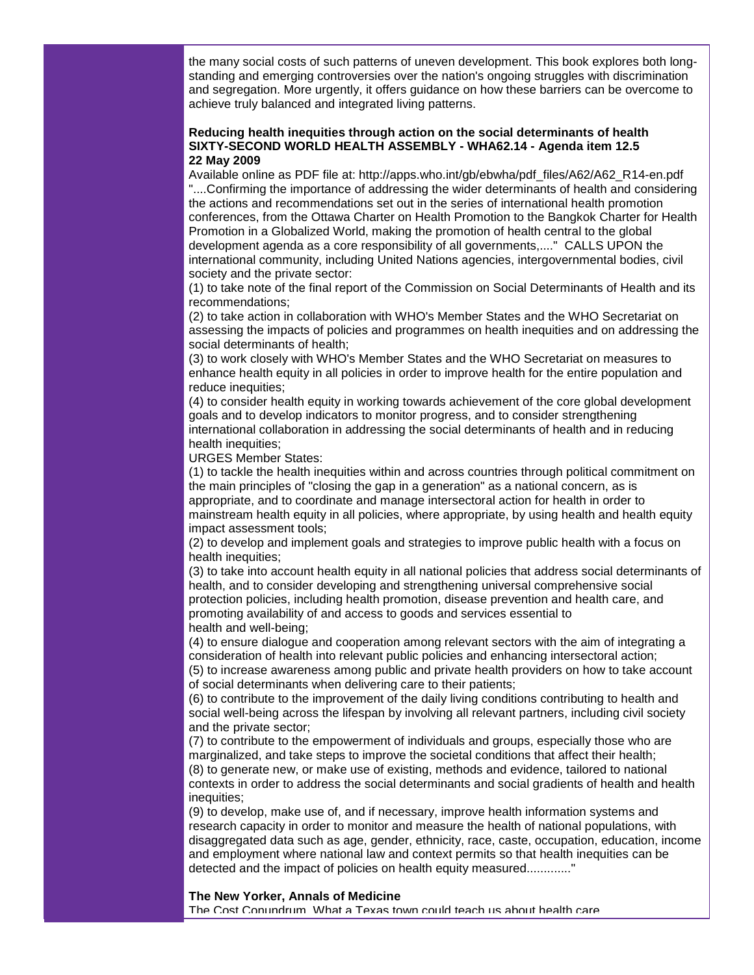the many social costs of such patterns of uneven development. This book explores both longstanding and emerging controversies over the nation's ongoing struggles with discrimination and segregation. More urgently, it offers guidance on how these barriers can be overcome to achieve truly balanced and integrated living patterns.

## **Reducing health inequities through action on the social determinants of health SIXTY-SECOND WORLD HEALTH ASSEMBLY - WHA62.14 - Agenda item 12.5 22 May 2009**

Available online as PDF file at: http://apps.who.int/gb/ebwha/pdf\_files/A62/A62\_R14-en.pdf "....Confirming the importance of addressing the wider determinants of health and considering the actions and recommendations set out in the series of international health promotion conferences, from the Ottawa Charter on Health Promotion to the Bangkok Charter for Health Promotion in a Globalized World, making the promotion of health central to the global development agenda as a core responsibility of all governments,...." CALLS UPON the international community, including United Nations agencies, intergovernmental bodies, civil society and the private sector:

(1) to take note of the final report of the Commission on Social Determinants of Health and its recommendations;

(2) to take action in collaboration with WHO's Member States and the WHO Secretariat on assessing the impacts of policies and programmes on health inequities and on addressing the social determinants of health;

(3) to work closely with WHO's Member States and the WHO Secretariat on measures to enhance health equity in all policies in order to improve health for the entire population and reduce inequities;

(4) to consider health equity in working towards achievement of the core global development goals and to develop indicators to monitor progress, and to consider strengthening international collaboration in addressing the social determinants of health and in reducing health inequities;

URGES Member States:

(1) to tackle the health inequities within and across countries through political commitment on the main principles of "closing the gap in a generation" as a national concern, as is appropriate, and to coordinate and manage intersectoral action for health in order to mainstream health equity in all policies, where appropriate, by using health and health equity impact assessment tools;

(2) to develop and implement goals and strategies to improve public health with a focus on health inequities;

(3) to take into account health equity in all national policies that address social determinants of health, and to consider developing and strengthening universal comprehensive social protection policies, including health promotion, disease prevention and health care, and promoting availability of and access to goods and services essential to health and well-being;

(4) to ensure dialogue and cooperation among relevant sectors with the aim of integrating a consideration of health into relevant public policies and enhancing intersectoral action; (5) to increase awareness among public and private health providers on how to take account of social determinants when delivering care to their patients;

(6) to contribute to the improvement of the daily living conditions contributing to health and social well-being across the lifespan by involving all relevant partners, including civil society and the private sector;

(7) to contribute to the empowerment of individuals and groups, especially those who are marginalized, and take steps to improve the societal conditions that affect their health; (8) to generate new, or make use of existing, methods and evidence, tailored to national contexts in order to address the social determinants and social gradients of health and health inequities;

(9) to develop, make use of, and if necessary, improve health information systems and research capacity in order to monitor and measure the health of national populations, with disaggregated data such as age, gender, ethnicity, race, caste, occupation, education, income and employment where national law and context permits so that health inequities can be detected and the impact of policies on health equity measured.............."

#### **The New Yorker, Annals of Medicine**

The Cost Conundrum, What a Texas town could teach us about health care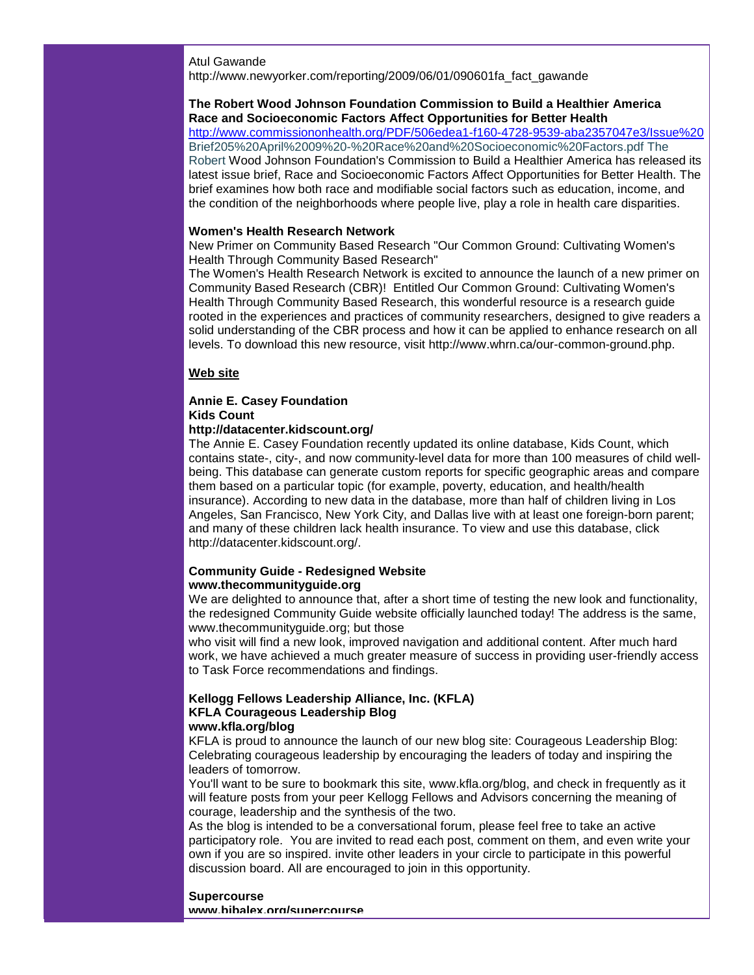#### Atul Gawande

http://www.newyorker.com/reporting/2009/06/01/090601fa\_fact\_gawande

## **The Robert Wood Johnson Foundation Commission to Build a Healthier America Race and Socioeconomic Factors Affect Opportunities for Better Health**

[http://www.commissiononhealth.org/PDF/506edea1-f160-4728-9539-aba2357047e3/Issue%20](http://rs6.net/tn.jsp?et=1102616288417&s=1&e=001oqVoDQQcg4IIfIYLZVSu3GZv1DYbWgQcwyxGjiJzqWBik7rVu_f9Unm4uF1xVc6_ozLAuelwU0N68SoUhvBfLLAKDLYTEQDQQjGVx_IDM0iNN8Q4LGZKf3Zk0--Hr-Wm5c-2FVEsCBSvxNfh8SbP89Ku5FRMSwtbZoGHeRTjY84iHGv1Lzah_py8n47IcGb_gzBnMWrk6jDpRwXK_BQh4CvP11_blqNXgiy18yXdiAktf6NqadBRujL5xsDUpbWNF5LDFCIGe-D1mduScsA960eOSe_3vkc3C8OrdRBmqA7_ttdyC3IQfQ==) Brief205%20April%2009%20-%20Race%20and%20Socioeconomic%20Factors.pdf The Robert Wood Johnson Foundation's Commission to Build a Healthier America has released its latest issue brief, Race and Socioeconomic Factors Affect Opportunities for Better Health. The brief examines how both race and modifiable social factors such as education, income, and the condition of the neighborhoods where people live, play a role in health care disparities.

#### **Women's Health Research Network**

New Primer on Community Based Research "Our Common Ground: Cultivating Women's Health Through Community Based Research"

The Women's Health Research Network is excited to announce the launch of a new primer on Community Based Research (CBR)! Entitled Our Common Ground: Cultivating Women's Health Through Community Based Research, this wonderful resource is a research guide rooted in the experiences and practices of community researchers, designed to give readers a solid understanding of the CBR process and how it can be applied to enhance research on all levels. To download this new resource, visit http://www.whrn.ca/our-common-ground.php.

## **Web site**

# **Annie E. Casey Foundation Kids Count**

## **http://datacenter.kidscount.org/**

The Annie E. Casey Foundation recently updated its online database, Kids Count, which contains state-, city-, and now community-level data for more than 100 measures of child wellbeing. This database can generate custom reports for specific geographic areas and compare them based on a particular topic (for example, poverty, education, and health/health insurance). According to new data in the database, more than half of children living in Los Angeles, San Francisco, New York City, and Dallas live with at least one foreign-born parent; and many of these children lack health insurance. To view and use this database, click http://datacenter.kidscount.org/.

## **Community Guide - Redesigned Website www.thecommunityguide.org**

We are delighted to announce that, after a short time of testing the new look and functionality, the redesigned Community Guide website officially launched today! The address is the same, www.thecommunityguide.org; but those

who visit will find a new look, improved navigation and additional content. After much hard work, we have achieved a much greater measure of success in providing user-friendly access to Task Force recommendations and findings.

#### **Kellogg Fellows Leadership Alliance, Inc. (KFLA) KFLA Courageous Leadership Blog www.kfla.org/blog**

KFLA is proud to announce the launch of our new blog site: Courageous Leadership Blog: Celebrating courageous leadership by encouraging the leaders of today and inspiring the leaders of tomorrow.

You'll want to be sure to bookmark this site, www.kfla.org/blog, and check in frequently as it will feature posts from your peer Kellogg Fellows and Advisors concerning the meaning of courage, leadership and the synthesis of the two.

As the blog is intended to be a conversational forum, please feel free to take an active participatory role. You are invited to read each post, comment on them, and even write your own if you are so inspired. invite other leaders in your circle to participate in this powerful discussion board. All are encouraged to join in this opportunity.

#### **Supercourse**

**www.bibalex.org/supercourse**